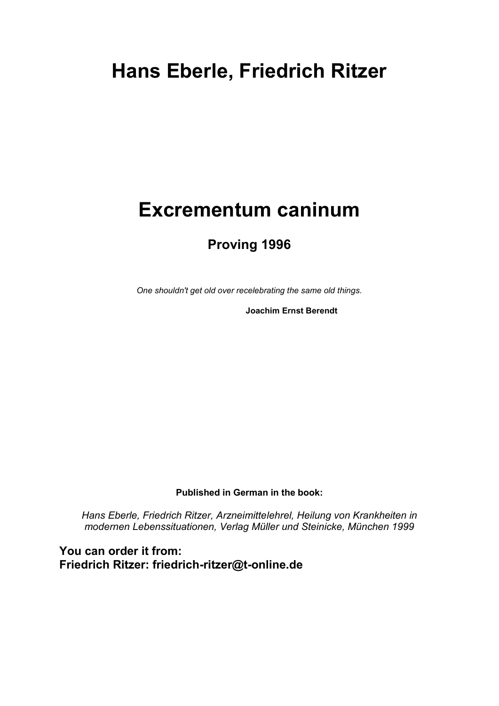# **Hans Eberle, Friedrich Ritzer**

# **Excrementum caninum**

### **Proving 1996**

*One shouldn't get old over recelebrating the same old things.*

**Joachim Ernst Berendt**

**Published in German in the book:** 

*Hans Eberle, Friedrich Ritzer, Arzneimittelehrel, Heilung von Krankheiten in modernen Lebenssituationen, Verlag Müller und Steinicke, München 1999*

**You can order it from: Friedrich Ritzer: friedrich-ritzer@t-online.de**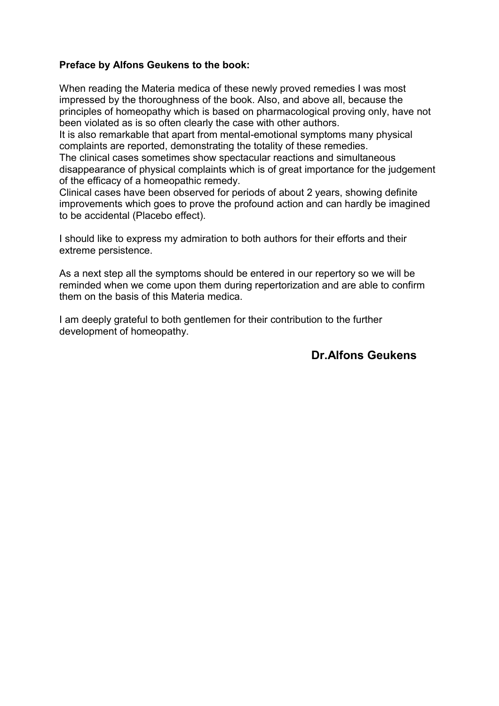#### **Preface by Alfons Geukens to the book:**

When reading the Materia medica of these newly proved remedies I was most impressed by the thoroughness of the book. Also, and above all, because the principles of homeopathy which is based on pharmacological proving only, have not been violated as is so often clearly the case with other authors.

It is also remarkable that apart from mental-emotional symptoms many physical complaints are reported, demonstrating the totality of these remedies.

The clinical cases sometimes show spectacular reactions and simultaneous disappearance of physical complaints which is of great importance for the judgement of the efficacy of a homeopathic remedy.

Clinical cases have been observed for periods of about 2 years, showing definite improvements which goes to prove the profound action and can hardly be imagined to be accidental (Placebo effect).

I should like to express my admiration to both authors for their efforts and their extreme persistence.

As a next step all the symptoms should be entered in our repertory so we will be reminded when we come upon them during repertorization and are able to confirm them on the basis of this Materia medica.

I am deeply grateful to both gentlemen for their contribution to the further development of homeopathy.

### **Dr.Alfons Geukens**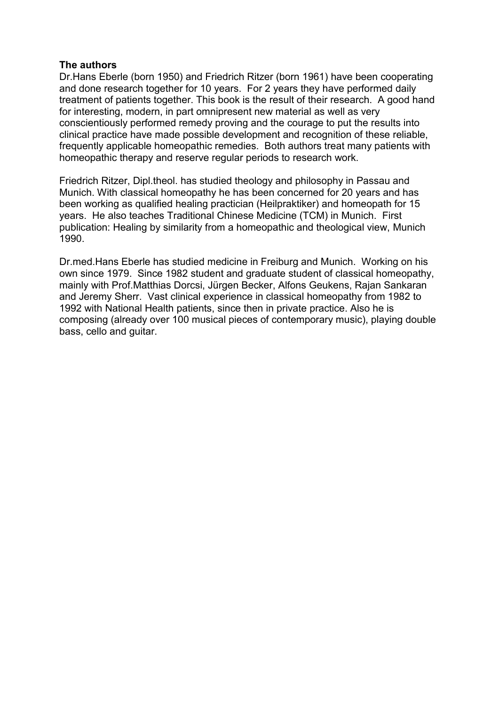#### **The authors**

Dr.Hans Eberle (born 1950) and Friedrich Ritzer (born 1961) have been cooperating and done research together for 10 years. For 2 years they have performed daily treatment of patients together. This book is the result of their research. A good hand for interesting, modern, in part omnipresent new material as well as very conscientiously performed remedy proving and the courage to put the results into clinical practice have made possible development and recognition of these reliable, frequently applicable homeopathic remedies. Both authors treat many patients with homeopathic therapy and reserve regular periods to research work.

Friedrich Ritzer, Dipl.theol. has studied theology and philosophy in Passau and Munich. With classical homeopathy he has been concerned for 20 years and has been working as qualified healing practician (Heilpraktiker) and homeopath for 15 years. He also teaches Traditional Chinese Medicine (TCM) in Munich. First publication: Healing by similarity from a homeopathic and theological view, Munich 1990.

Dr.med.Hans Eberle has studied medicine in Freiburg and Munich. Working on his own since 1979. Since 1982 student and graduate student of classical homeopathy, mainly with Prof.Matthias Dorcsi, Jürgen Becker, Alfons Geukens, Rajan Sankaran and Jeremy Sherr. Vast clinical experience in classical homeopathy from 1982 to 1992 with National Health patients, since then in private practice. Also he is composing (already over 100 musical pieces of contemporary music), playing double bass, cello and guitar.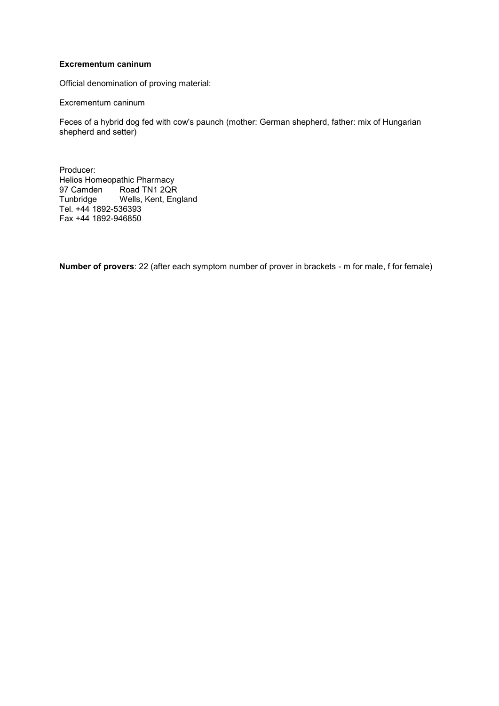#### **Excrementum caninum**

Official denomination of proving material:

Excrementum caninum

Feces of a hybrid dog fed with cow's paunch (mother: German shepherd, father: mix of Hungarian shepherd and setter)

Producer: Helios Homeopathic Pharmacy 97 Camden Road TN1 2QR Tunbridge Wells, Kent, England Tel. +44 1892-536393 Fax +44 1892-946850

**Number of provers**: 22 (after each symptom number of prover in brackets - m for male, f for female)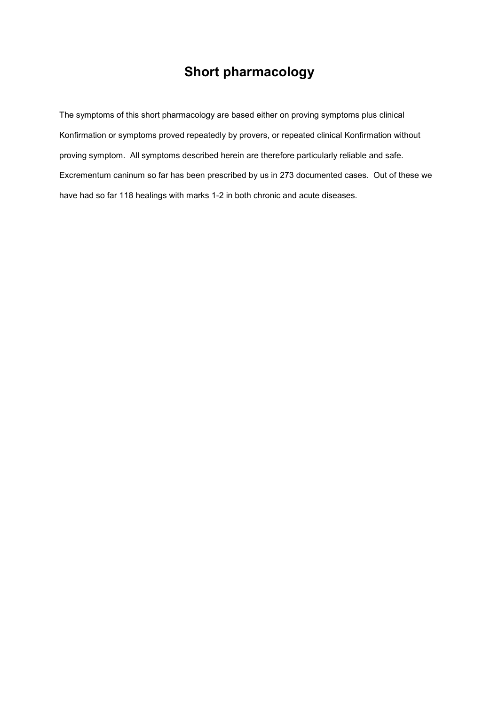### **Short pharmacology**

The symptoms of this short pharmacology are based either on proving symptoms plus clinical Konfirmation or symptoms proved repeatedly by provers, or repeated clinical Konfirmation without proving symptom. All symptoms described herein are therefore particularly reliable and safe. Excrementum caninum so far has been prescribed by us in 273 documented cases. Out of these we have had so far 118 healings with marks 1-2 in both chronic and acute diseases.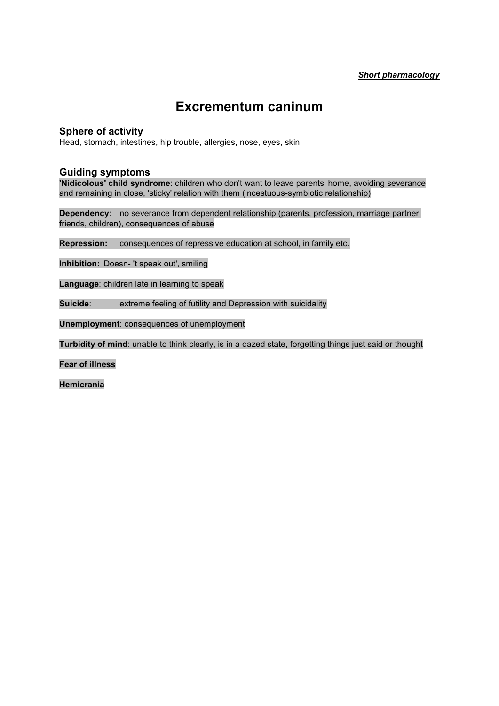### **Excrementum caninum**

#### **Sphere of activity**

Head, stomach, intestines, hip trouble, allergies, nose, eyes, skin

#### **Guiding symptoms**

**'Nidicolous' child syndrome**: children who don't want to leave parents' home, avoiding severance and remaining in close, 'sticky' relation with them (incestuous-symbiotic relationship)

**Dependency**: no severance from dependent relationship (parents, profession, marriage partner, friends, children), consequences of abuse

**Repression:** consequences of repressive education at school, in family etc.

**Inhibition:** 'Doesn- 't speak out', smiling

**Language**: children late in learning to speak

**Suicide:** extreme feeling of futility and Depression with suicidality

**Unemployment**: consequences of unemployment

**Turbidity of mind**: unable to think clearly, is in a dazed state, forgetting things just said or thought

**Fear of illness**

**Hemicrania**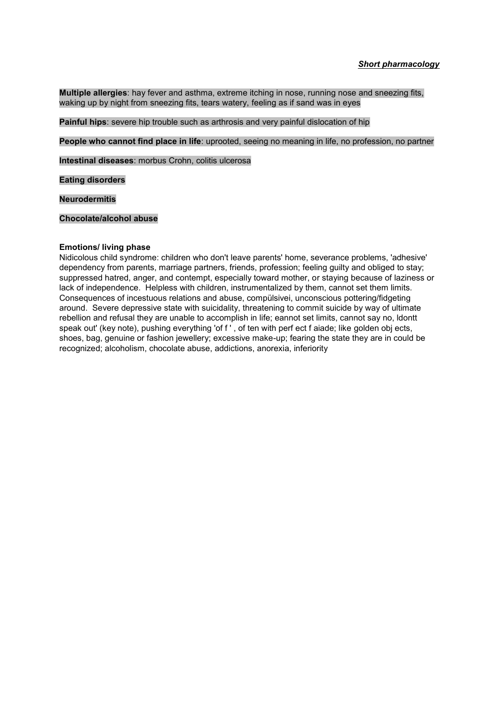**Multiple allergies**: hay fever and asthma, extreme itching in nose, running nose and sneezing fits, waking up by night from sneezing fits, tears watery, feeling as if sand was in eyes

**Painful hips**: severe hip trouble such as arthrosis and very painful dislocation of hip

**People who cannot find place in life**: uprooted, seeing no meaning in life, no profession, no partner

**Intestinal diseases**: morbus Crohn, colitis ulcerosa

**Eating disorders**

**Neurodermitis**

**Chocolate/alcohol abuse**

#### **Emotions/ living phase**

Nidicolous child syndrome: children who don't leave parents' home, severance problems, 'adhesive' dependency from parents, marriage partners, friends, profession; feeling guilty and obliged to stay; suppressed hatred, anger, and contempt, especially toward mother, or staying because of laziness or lack of independence. Helpless with children, instrumentalized by them, cannot set them limits. Consequences of incestuous relations and abuse, compülsivei, unconscious pottering/fidgeting around. Severe depressive state with suicidality, threatening to commit suicide by way of ultimate rebellion and refusal they are unable to accomplish in life; eannot set limits, cannot say no, ldontt speak out' (key note), pushing everything 'of f ' , of ten with perf ect f aiade; like golden obj ects, shoes, bag, genuine or fashion jewellery; excessive make-up; fearing the state they are in could be recognized; alcoholism, chocolate abuse, addictions, anorexia, inferiority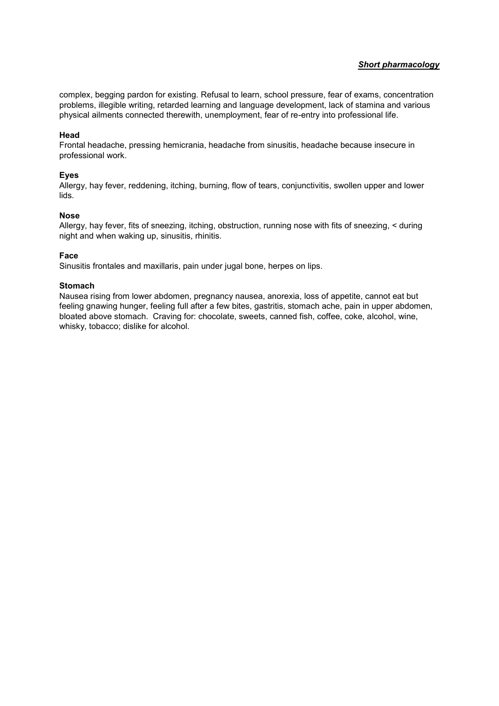#### *Short pharmacology*

complex, begging pardon for existing. Refusal to learn, school pressure, fear of exams, concentration problems, illegible writing, retarded learning and language development, lack of stamina and various physical ailments connected therewith, unemployment, fear of re-entry into professional life.

#### **Head**

Frontal headache, pressing hemicrania, headache from sinusitis, headache because insecure in professional work.

#### **Eyes**

Allergy, hay fever, reddening, itching, burning, flow of tears, conjunctivitis, swollen upper and lower lids.

#### **Nose**

Allergy, hay fever, fits of sneezing, itching, obstruction, running nose with fits of sneezing, < during night and when waking up, sinusitis, rhinitis.

#### **Face**

Sinusitis frontales and maxillaris, pain under jugal bone, herpes on lips.

#### **Stomach**

Nausea rising from lower abdomen, pregnancy nausea, anorexia, loss of appetite, cannot eat but feeling gnawing hunger, feeling full after a few bites, gastritis, stomach ache, pain in upper abdomen, bloated above stomach. Craving for: chocolate, sweets, canned fish, coffee, coke, alcohol, wine, whisky, tobacco; dislike for alcohol.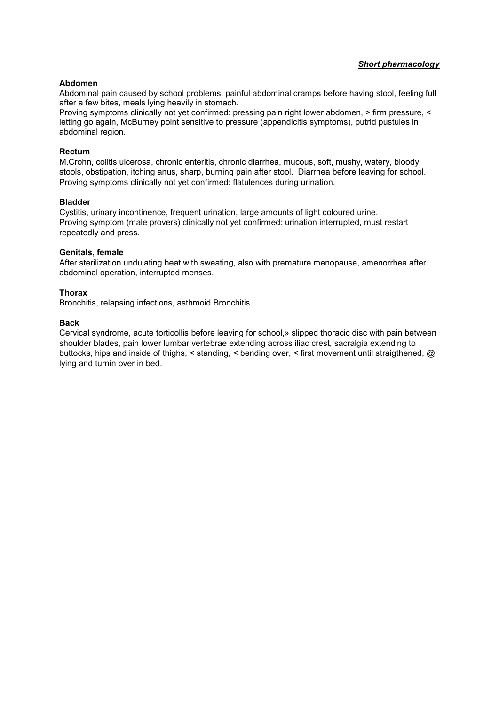#### *Short pharmacology*

#### **Abdomen**

Abdominal pain caused by school problems, painful abdominal cramps before having stool, feeling full after a few bites, meals lying heavily in stomach.

Proving symptoms clinically not yet confirmed: pressing pain right lower abdomen, > firm pressure, < letting go again, McBurney point sensitive to pressure (appendicitis symptoms), putrid pustules in abdominal region.

#### **Rectum**

M.Crohn, colitis ulcerosa, chronic enteritis, chronic diarrhea, mucous, soft, mushy, watery, bloody stools, obstipation, itching anus, sharp, burning pain after stool. Diarrhea before leaving for school. Proving symptoms clinically not yet confirmed: flatulences during urination.

#### **Bladder**

Cystitis, urinary incontinence, frequent urination, large amounts of light coloured urine. Proving symptom (male provers) clinically not yet confirmed: urination interrupted, must restart repeatedly and press.

#### **Genitals, female**

After sterilization undulating heat with sweating, also with premature menopause, amenorrhea after abdominal operation, interrupted menses.

#### **Thorax**

Bronchitis, relapsing infections, asthmoid Bronchitis

#### **Back**

Cervical syndrome, acute torticollis before leaving for school,» slipped thoracic disc with pain between shoulder blades, pain lower lumbar vertebrae extending across iliac crest, sacralgia extending to buttocks, hips and inside of thighs, < standing, < bending over, < first movement until straigthened, @ lying and turnin over in bed.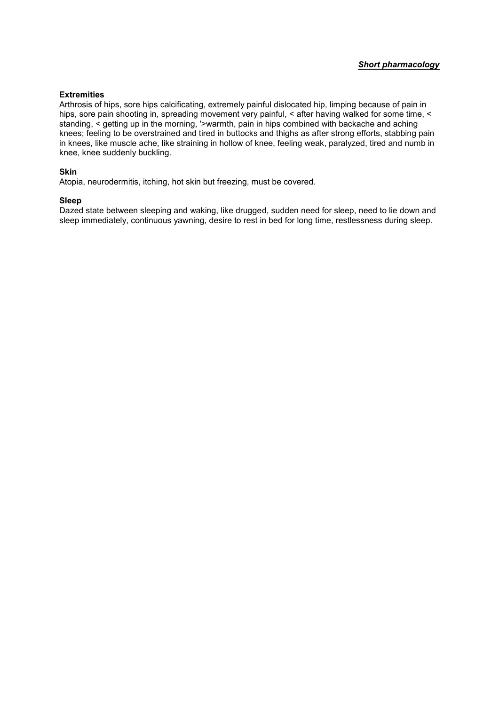#### **Extremities**

Arthrosis of hips, sore hips calcificating, extremely painful dislocated hip, limping because of pain in hips, sore pain shooting in, spreading movement very painful, < after having walked for some time, < standing, < getting up in the morning, '>warmth, pain in hips combined with backache and aching knees; feeling to be overstrained and tired in buttocks and thighs as after strong efforts, stabbing pain in knees, like muscle ache, like straining in hollow of knee, feeling weak, paralyzed, tired and numb in knee, knee suddenly buckling.

#### **Skin**

Atopia, neurodermitis, itching, hot skin but freezing, must be covered.

#### **Sleep**

Dazed state between sleeping and waking, like drugged, sudden need for sleep, need to lie down and sleep immediately, continuous yawning, desire to rest in bed for long time, restlessness during sleep.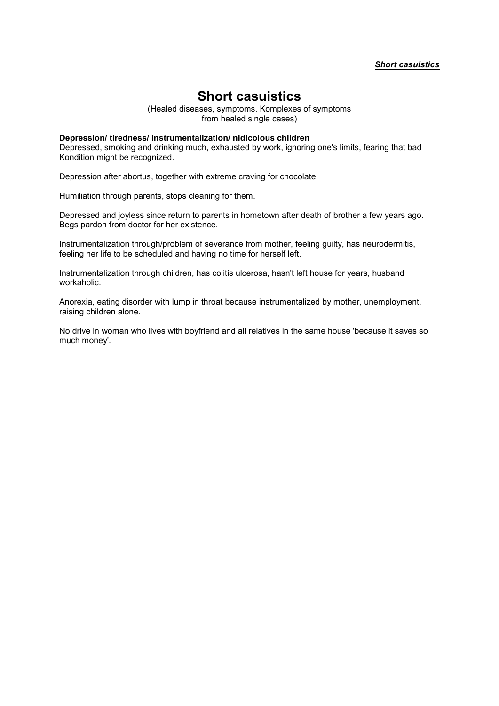(Healed diseases, symptoms, Komplexes of symptoms from healed single cases)

#### **Depression/ tiredness/ instrumentalization/ nidicolous children**

Depressed, smoking and drinking much, exhausted by work, ignoring one's limits, fearing that bad Kondition might be recognized.

Depression after abortus, together with extreme craving for chocolate.

Humiliation through parents, stops cleaning for them.

Depressed and joyless since return to parents in hometown after death of brother a few years ago. Begs pardon from doctor for her existence.

Instrumentalization through/problem of severance from mother, feeling guilty, has neurodermitis, feeling her life to be scheduled and having no time for herself left.

Instrumentalization through children, has colitis ulcerosa, hasn't left house for years, husband workaholic.

Anorexia, eating disorder with lump in throat because instrumentalized by mother, unemployment, raising children alone.

No drive in woman who lives with boyfriend and all relatives in the same house 'because it saves so much money'.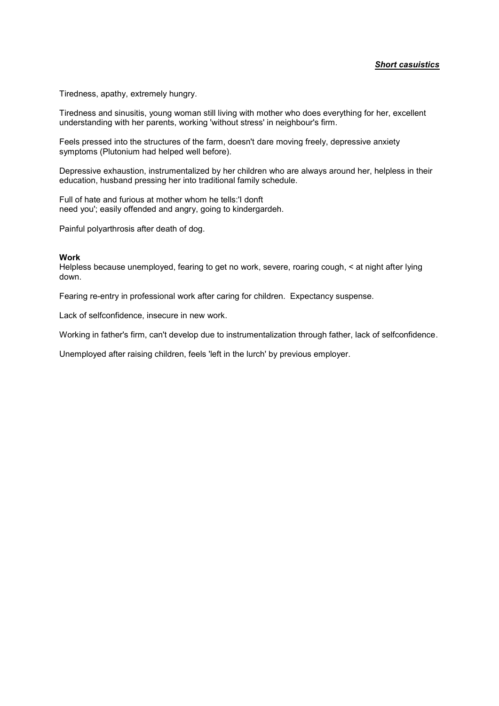Tiredness, apathy, extremely hungry.

Tiredness and sinusitis, young woman still living with mother who does everything for her, excellent understanding with her parents, working 'without stress' in neighbour's firm.

Feels pressed into the structures of the farm, doesn't dare moving freely, depressive anxiety symptoms (Plutonium had helped well before).

Depressive exhaustion, instrumentalized by her children who are always around her, helpless in their education, husband pressing her into traditional family schedule.

Full of hate and furious at mother whom he tells:'I donft need you'; easily offended and angry, going to kindergardeh.

Painful polyarthrosis after death of dog.

#### **Work**

Helpless because unemployed, fearing to get no work, severe, roaring cough, < at night after lying down.

Fearing re-entry in professional work after caring for children. Expectancy suspense.

Lack of selfconfidence, insecure in new work.

Working in father's firm, can't develop due to instrumentalization through father, lack of selfconfidence.

Unemployed after raising children, feels 'left in the lurch' by previous employer.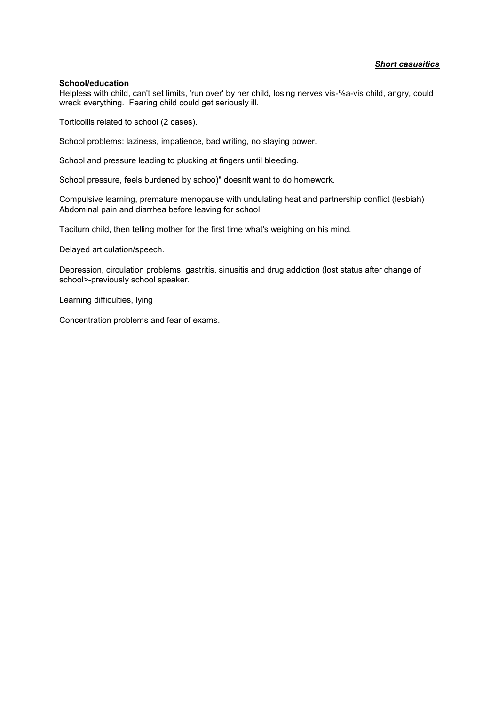#### **School/education**

Helpless with child, can't set limits, 'run over' by her child, losing nerves vis-%a-vis child, angry, could wreck everything. Fearing child could get seriously ill.

Torticollis related to school (2 cases).

School problems: laziness, impatience, bad writing, no staying power.

School and pressure leading to plucking at fingers until bleeding.

School pressure, feels burdened by schoo)" doesnlt want to do homework.

Compulsive learning, premature menopause with undulating heat and partnership conflict (lesbiah) Abdominal pain and diarrhea before leaving for school.

Taciturn child, then telling mother for the first time what's weighing on his mind.

Delayed articulation/speech.

Depression, circulation problems, gastritis, sinusitis and drug addiction (lost status after change of school>-previously school speaker.

Learning difficulties, lying

Concentration problems and fear of exams.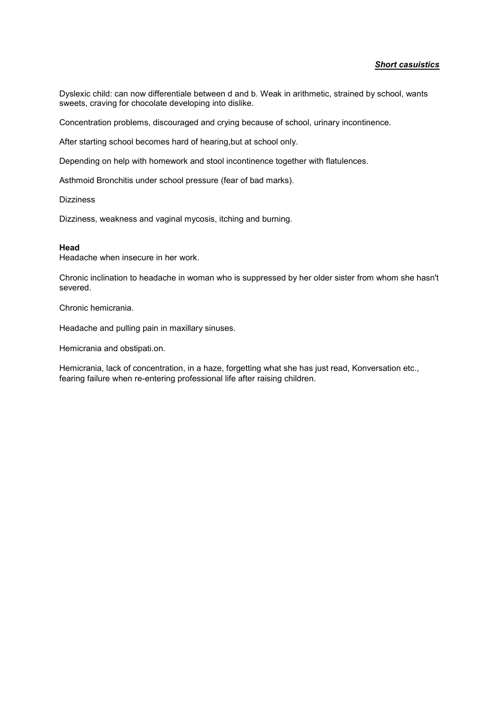Dyslexic child: can now differentiale between d and b. Weak in arithmetic, strained by school, wants sweets, craving for chocolate developing into dislike.

Concentration problems, discouraged and crying because of school, urinary incontinence.

After starting school becomes hard of hearing,but at school only.

Depending on help with homework and stool incontinence together with flatulences.

Asthmoid Bronchitis under school pressure (fear of bad marks).

**Dizziness** 

Dizziness, weakness and vaginal mycosis, itching and burning.

#### **Head**

Headache when insecure in her work.

Chronic inclination to headache in woman who is suppressed by her older sister from whom she hasn't severed.

Chronic hemicrania.

Headache and pulling pain in maxillary sinuses.

Hemicrania and obstipati.on.

Hemicrania, lack of concentration, in a haze, forgetting what she has just read, Konversation etc., fearing failure when re-entering professional life after raising children.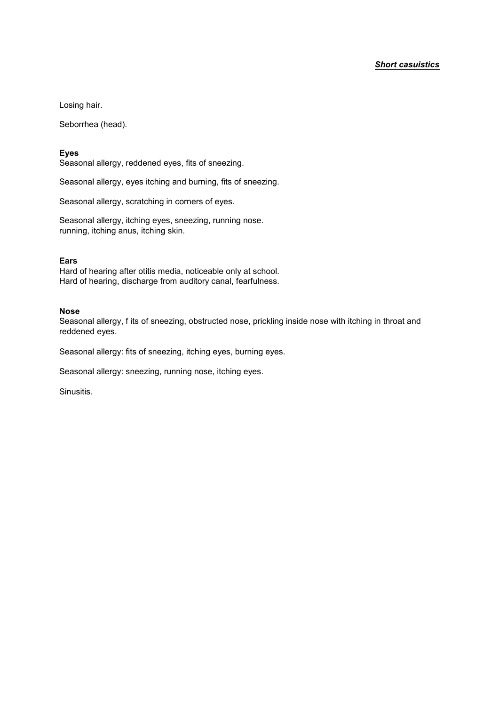Losing hair.

Seborrhea (head).

#### **Eyes**

Seasonal allergy, reddened eyes, fits of sneezing.

Seasonal allergy, eyes itching and burning, fits of sneezing.

Seasonal allergy, scratching in corners of eyes.

Seasonal allergy, itching eyes, sneezing, running nose. running, itching anus, itching skin.

#### **Ears**

Hard of hearing after otitis media, noticeable only at school. Hard of hearing, discharge from auditory canal, fearfulness.

#### **Nose**

Seasonal allergy, f its of sneezing, obstructed nose, prickling inside nose with itching in throat and reddened eyes.

Seasonal allergy: fits of sneezing, itching eyes, burning eyes.

Seasonal allergy: sneezing, running nose, itching eyes.

Sinusitis.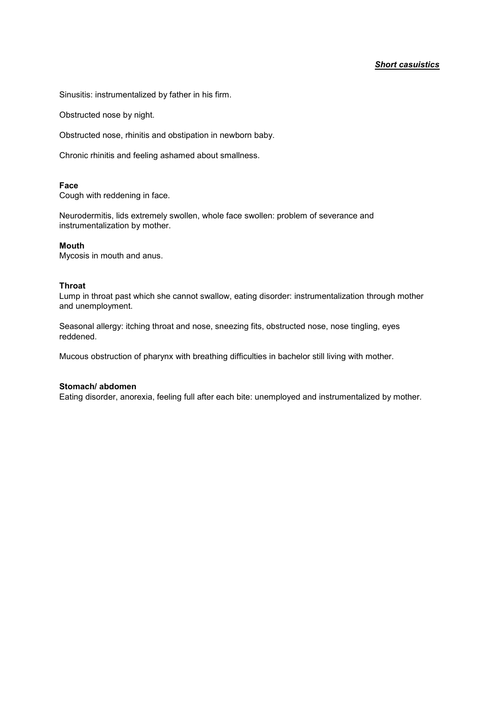Sinusitis: instrumentalized by father in his firm.

Obstructed nose by night.

Obstructed nose, rhinitis and obstipation in newborn baby.

Chronic rhinitis and feeling ashamed about smallness.

#### **Face**

Cough with reddening in face.

Neurodermitis, lids extremely swollen, whole face swollen: problem of severance and instrumentalization by mother.

#### **Mouth**

Mycosis in mouth and anus.

#### **Throat**

Lump in throat past which she cannot swallow, eating disorder: instrumentalization through mother and unemployment.

Seasonal allergy: itching throat and nose, sneezing fits, obstructed nose, nose tingling, eyes reddened.

Mucous obstruction of pharynx with breathing difficulties in bachelor still living with mother.

#### **Stomach/ abdomen**

Eating disorder, anorexia, feeling full after each bite: unemployed and instrumentalized by mother.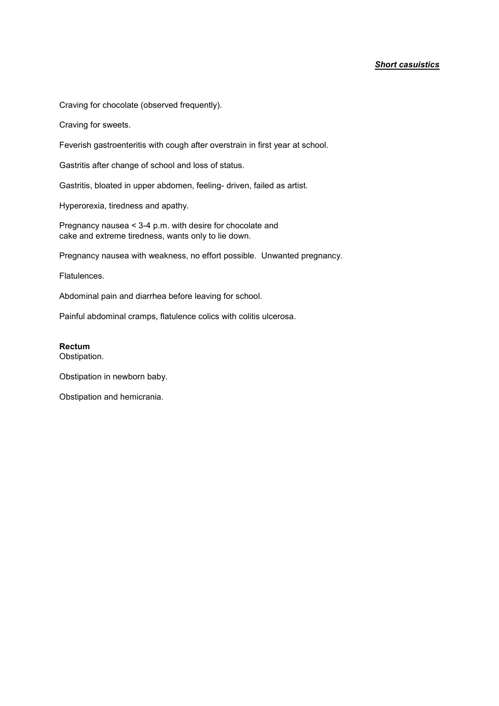Craving for chocolate (observed frequently).

Craving for sweets.

Feverish gastroenteritis with cough after overstrain in first year at school.

Gastritis after change of school and loss of status.

Gastritis, bloated in upper abdomen, feeling- driven, failed as artist.

Hyperorexia, tiredness and apathy.

Pregnancy nausea < 3-4 p.m. with desire for chocolate and cake and extreme tiredness, wants only to lie down.

Pregnancy nausea with weakness, no effort possible. Unwanted pregnancy.

Flatulences.

Abdominal pain and diarrhea before leaving for school.

Painful abdominal cramps, flatulence colics with colitis ulcerosa.

#### **Rectum**

Obstipation.

Obstipation in newborn baby.

Obstipation and hemicrania.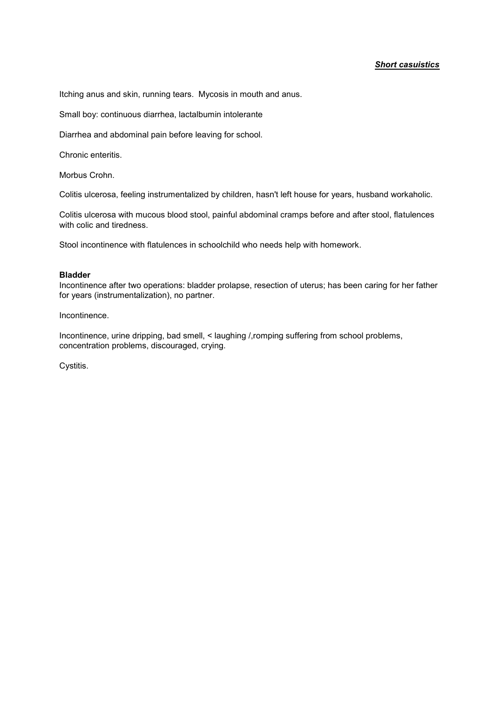Itching anus and skin, running tears. Mycosis in mouth and anus.

Small boy: continuous diarrhea, lactalbumin intolerante

Diarrhea and abdominal pain before leaving for school.

Chronic enteritis.

Morbus Crohn.

Colitis ulcerosa, feeling instrumentalized by children, hasn't left house for years, husband workaholic.

Colitis ulcerosa with mucous blood stool, painful abdominal cramps before and after stool, flatulences with colic and tiredness.

Stool incontinence with flatulences in schoolchild who needs help with homework.

#### **Bladder**

Incontinence after two operations: bladder prolapse, resection of uterus; has been caring for her father for years (instrumentalization), no partner.

Incontinence.

Incontinence, urine dripping, bad smell, < laughing /,romping suffering from school problems, concentration problems, discouraged, crying.

Cystitis.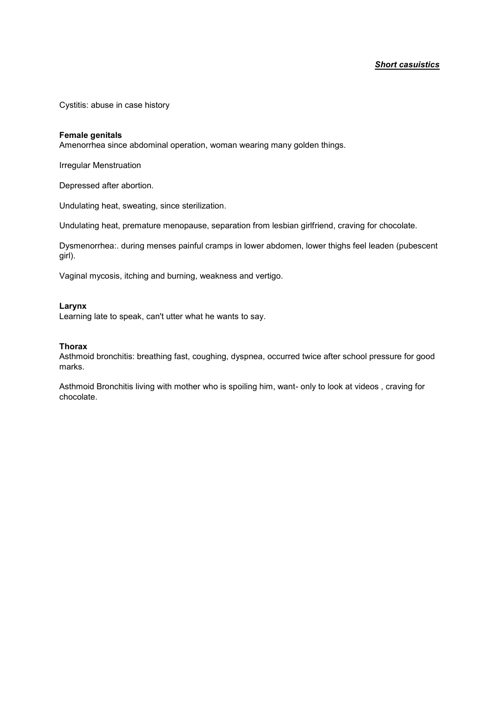Cystitis: abuse in case history

#### **Female genitals**

Amenorrhea since abdominal operation, woman wearing many golden things.

Irregular Menstruation

Depressed after abortion.

Undulating heat, sweating, since sterilization.

Undulating heat, premature menopause, separation from lesbian girlfriend, craving for chocolate.

Dysmenorrhea:. during menses painful cramps in lower abdomen, lower thighs feel leaden (pubescent girl).

Vaginal mycosis, itching and burning, weakness and vertigo.

#### **Larynx**

Learning late to speak, can't utter what he wants to say.

#### **Thorax**

Asthmoid bronchitis: breathing fast, coughing, dyspnea, occurred twice after school pressure for good marks.

Asthmoid Bronchitis living with mother who is spoiling him, want- only to look at videos , craving for chocolate.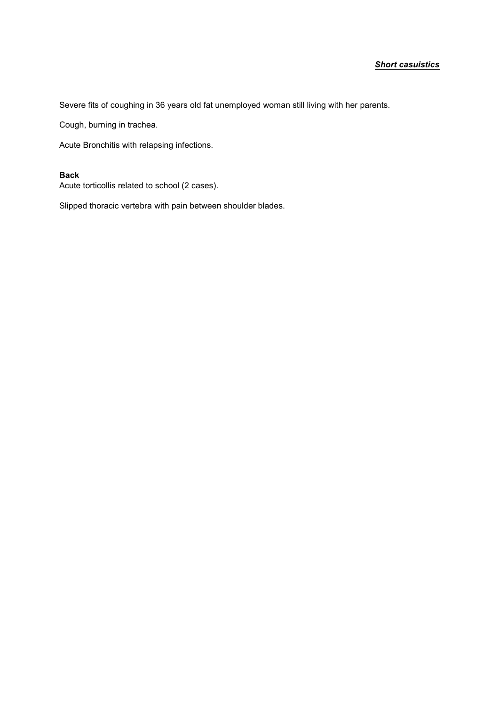Severe fits of coughing in 36 years old fat unemployed woman still living with her parents.

Cough, burning in trachea.

Acute Bronchitis with relapsing infections.

#### **Back**

Acute torticollis related to school (2 cases).

Slipped thoracic vertebra with pain between shoulder blades.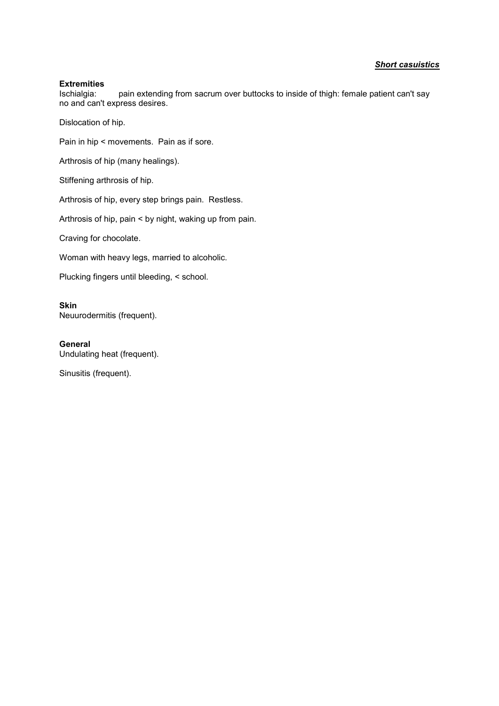#### **Extremities**

Ischialgia: pain extending from sacrum over buttocks to inside of thigh: female patient can't say no and can't express desires.

Dislocation of hip.

Pain in hip < movements. Pain as if sore.

Arthrosis of hip (many healings).

Stiffening arthrosis of hip.

Arthrosis of hip, every step brings pain. Restless.

Arthrosis of hip, pain < by night, waking up from pain.

Craving for chocolate.

Woman with heavy legs, married to alcoholic.

Plucking fingers until bleeding, < school.

**Skin** Neuurodermitis (frequent).

**General** Undulating heat (frequent).

Sinusitis (frequent).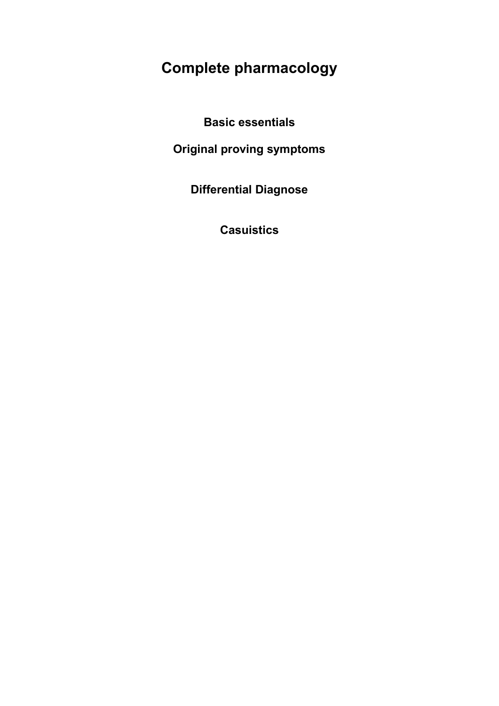# **Complete pharmacology**

**Basic essentials**

**Original proving symptoms**

**Differential Diagnose**

**Casuistics**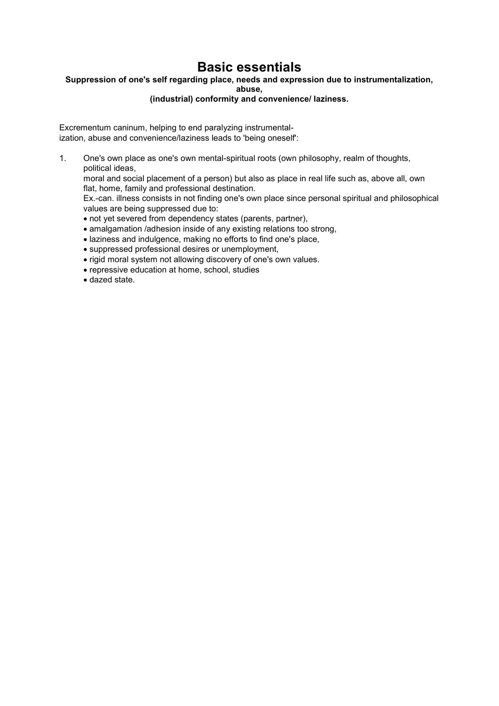### **Basic essentials**

#### **Suppression of one's self regarding place, needs and expression due to instrumentalization,**

**abuse,**

#### **(industrial) conformity and convenience/ laziness.**

Excrementum caninum, helping to end paralyzing instrumentalization, abuse and convenience/laziness leads to 'being oneself':

1. One's own place as one's own mental-spiritual roots (own philosophy, realm of thoughts, political ideas,

moral and social placement of a person) but also as place in real life such as, above all, own flat, home, family and professional destination.

Ex.-can. illness consists in not finding one's own place since personal spiritual and philosophical values are being suppressed due to:

- not yet severed from dependency states (parents, partner),
- amalgamation /adhesion inside of any existing relations too strong,
- laziness and indulgence, making no efforts to find one's place,
- suppressed professional desires or unemployment,
- rigid moral system not allowing discovery of one's own values.
- repressive education at home, school, studies
- dazed state.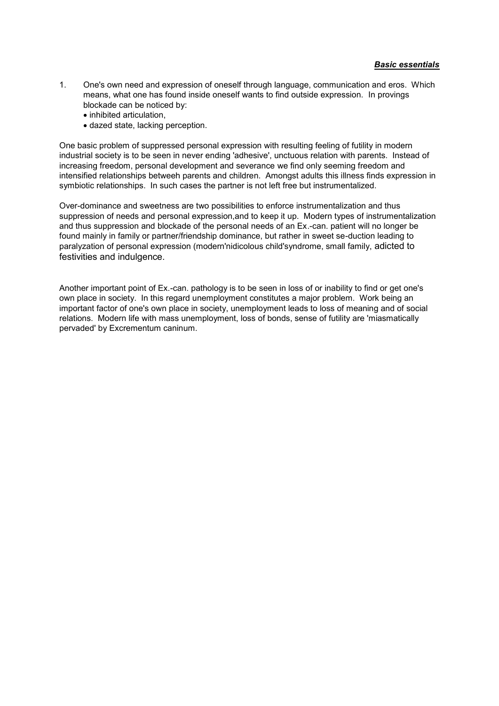- 1. One's own need and expression of oneself through language, communication and eros. Which means, what one has found inside oneself wants to find outside expression. In provings blockade can be noticed by:
	- inhibited articulation,
	- dazed state, lacking perception.

One basic problem of suppressed personal expression with resulting feeling of futility in modern industrial society is to be seen in never ending 'adhesive', unctuous relation with parents. Instead of increasing freedom, personal development and severance we find only seeming freedom and intensified relationships betweeh parents and children. Amongst adults this illness finds expression in symbiotic relationships. In such cases the partner is not left free but instrumentalized.

Over-dominance and sweetness are two possibilities to enforce instrumentalization and thus suppression of needs and personal expression,and to keep it up. Modern types of instrumentalization and thus suppression and blockade of the personal needs of an Ex.-can. patient will no longer be found mainly in family or partner/friendship dominance, but rather in sweet se-duction leading to paralyzation of personal expression (modern'nidicolous child'syndrome, small family, adicted to festivities and indulgence.

Another important point of Ex.-can. pathology is to be seen in loss of or inability to find or get one's own place in society. In this regard unemployment constitutes a major problem. Work being an important factor of one's own place in society, unemployment leads to loss of meaning and of social relations. Modern life with mass unemployment, loss of bonds, sense of futility are 'miasmatically pervaded' by Excrementum caninum.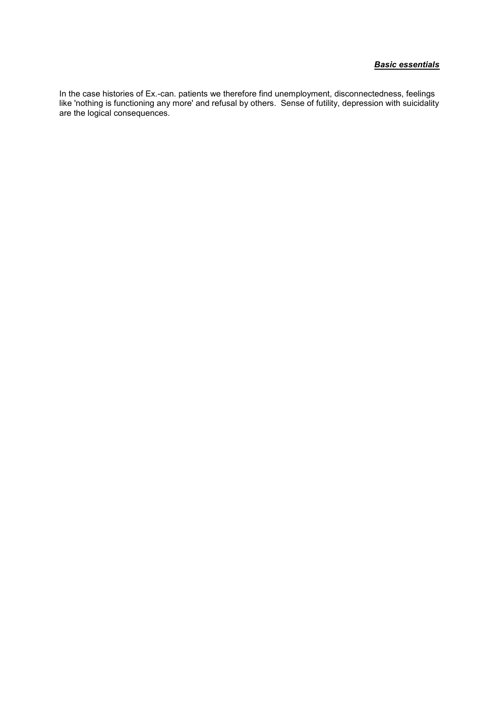#### *Basic essentials*

In the case histories of Ex.-can. patients we therefore find unemployment, disconnectedness, feelings like 'nothing is functioning any more' and refusal by others. Sense of futility, depression with suicidality are the logical consequences.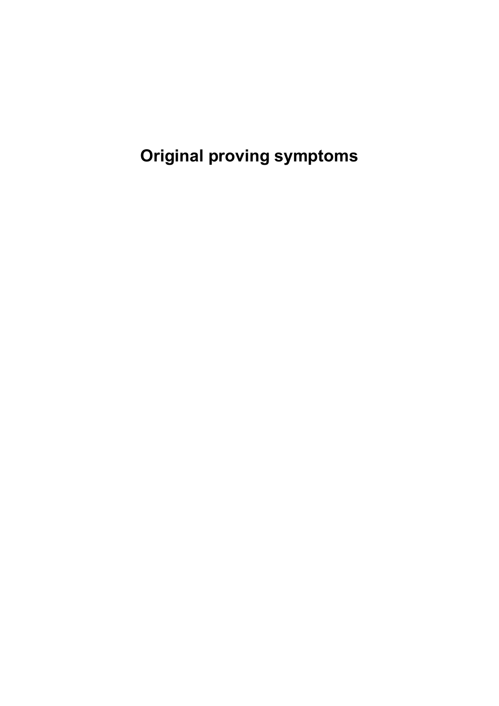**Original proving symptoms**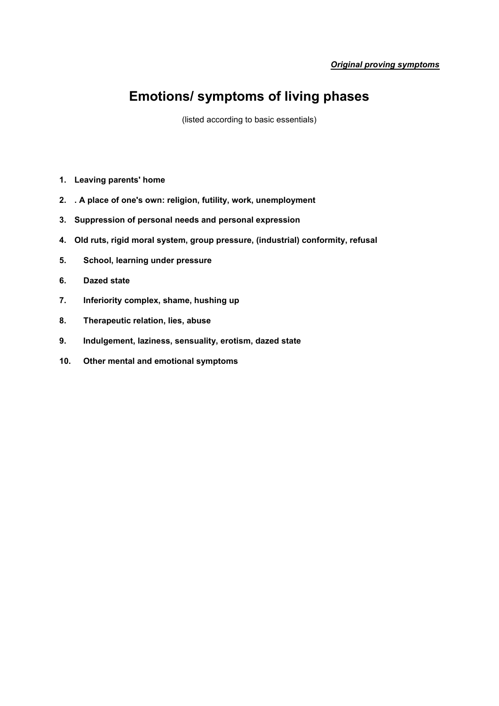### **Emotions/ symptoms of living phases**

(listed according to basic essentials)

- **1. Leaving parents' home**
- **2. . A place of one's own: religion, futility, work, unemployment**
- **3. Suppression of personal needs and personal expression**
- **4. Old ruts, rigid moral system, group pressure, (industrial) conformity, refusal**
- **5. School, learning under pressure**
- **6. Dazed state**
- **7. Inferiority complex, shame, hushing up**
- **8. Therapeutic relation, lies, abuse**
- **9. Indulgement, laziness, sensuality, erotism, dazed state**
- **10. Other mental and emotional symptoms**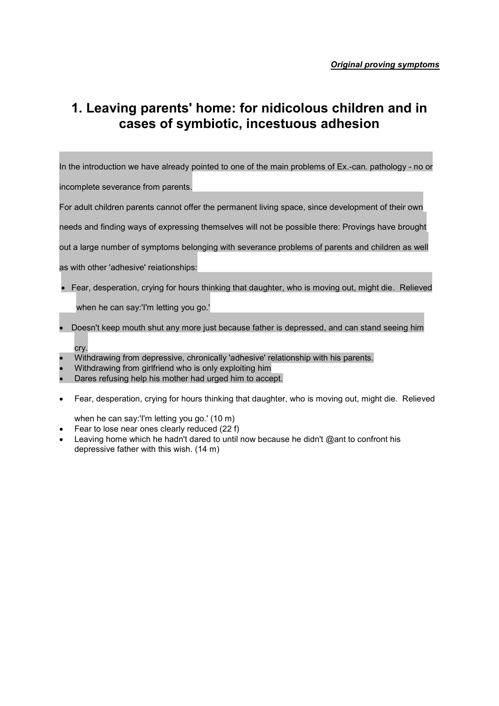### **1. Leaving parents' home: for nidicolous children and in cases of symbiotic, incestuous adhesion**

In the introduction we have already pointed to one of the main problems of Ex.-can. pathology - no or

incomplete severance from parents.

For adult children parents cannot offer the permanent living space, since development of their own

needs and finding ways of expressing themselves will not be possible there: Provings have brought

out a large number of symptoms belonging with severance problems of parents and children as well

- as with other 'adhesive' reiationships:
- Fear, desperation, crying for hours thinking that daughter, who is moving out, might die. Relieved

when he can say:'I'm letting you go.'

- Doesn't keep mouth shut any more just because father is depressed, and can stand seeing him cry.
- Withdrawing from depressive, chronically 'adhesive' relationship with his parents.
- Withdrawing from girlfriend who is only exploiting him
- Dares refusing help his mother had urged him to accept.
- Fear, desperation, crying for hours thinking that daughter, who is moving out, might die. Relieved

when he can say:'I'm letting you go.' (10 m)

- Fear to lose near ones clearly reduced (22 f)
- Leaving home which he hadn't dared to until now because he didn't @ant to confront his depressive father with this wish. (14 m)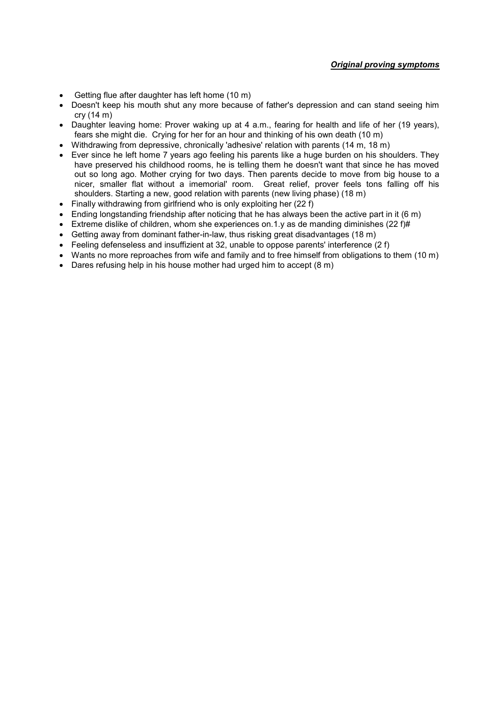- Getting flue after daughter has left home (10 m)
- Doesn't keep his mouth shut any more because of father's depression and can stand seeing him cry (14 m)
- Daughter leaving home: Prover waking up at 4 a.m., fearing for health and life of her (19 years), fears she might die. Crying for her for an hour and thinking of his own death (10 m)
- Withdrawing from depressive, chronically 'adhesive' relation with parents (14 m, 18 m)
- Ever since he left home 7 years ago feeling his parents like a huge burden on his shoulders. They have preserved his childhood rooms, he is telling them he doesn't want that since he has moved out so long ago. Mother crying for two days. Then parents decide to move from big house to a nicer, smaller flat without a imemorial' room. Great relief, prover feels tons falling off his shoulders. Starting a new, good relation with parents (new living phase) (18 m)
- Finally withdrawing from girlfriend who is only exploiting her (22 f)
- $\bullet$  Ending longstanding friendship after noticing that he has always been the active part in it (6 m)
- Extreme dislike of children, whom she experiences on.1.y as de manding diminishes (22 f)#
- Getting away from dominant father-in-law, thus risking great disadvantages (18 m)
- Feeling defenseless and insuffizient at 32, unable to oppose parents' interference (2 f)
- Wants no more reproaches from wife and family and to free himself from obligations to them (10 m)
- Dares refusing help in his house mother had urged him to accept (8 m)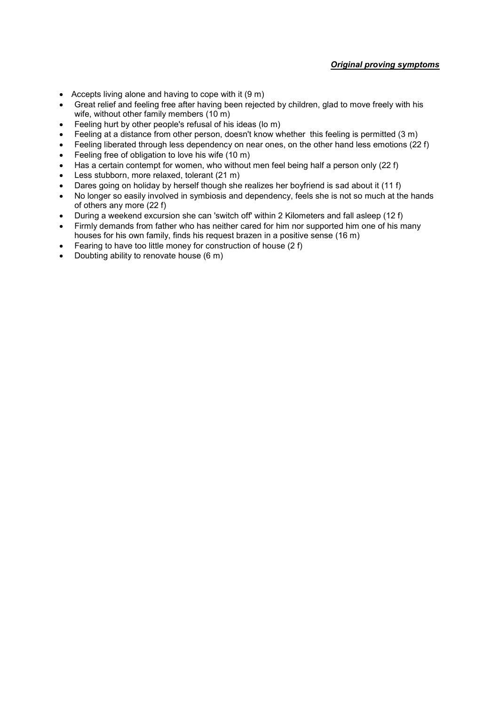#### *Original proving symptoms*

- Accepts living alone and having to cope with it  $(9 \text{ m})$
- Great relief and feeling free after having been rejected by children, glad to move freely with his wife, without other family members (10 m)
- Feeling hurt by other people's refusal of his ideas (lo m)
- Feeling at a distance from other person, doesn't know whether this feeling is permitted (3 m)
- Feeling liberated through less dependency on near ones, on the other hand less emotions (22 f)
- Feeling free of obligation to love his wife (10 m)
- Has a certain contempt for women, who without men feel being half a person only (22 f)
- Less stubborn, more relaxed, tolerant (21 m)
- Dares going on holiday by herself though she realizes her boyfriend is sad about it (11 f)
- No longer so easily involved in symbiosis and dependency, feels she is not so much at the hands of others any more (22 f)
- During a weekend excursion she can 'switch off' within 2 Kilometers and fall asleep (12 f)
- Firmly demands from father who has neither cared for him nor supported him one of his many houses for his own family, finds his request brazen in a positive sense (16 m)
- Fearing to have too little money for construction of house (2 f)
- Doubting ability to renovate house (6 m)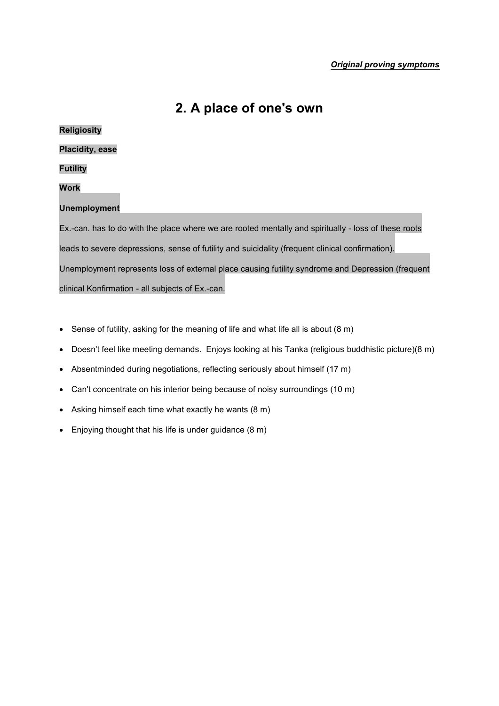### **2. A place of one's own**

## **Religiosity Placidity, ease Futility Work Unemployment** Ex.-can. has to do with the place where we are rooted mentally and spiritually - loss of these roots leads to severe depressions, sense of futility and suicidality (frequent clinical confirmation). Unemployment represents loss of external place causing futility syndrome and Depression (frequent clinical Konfirmation - all subjects of Ex.-can.

- Sense of futility, asking for the meaning of life and what life all is about (8 m)
- Doesn't feel like meeting demands. Enjoys looking at his Tanka (religious buddhistic picture)(8 m)
- Absentminded during negotiations, reflecting seriously about himself (17 m)
- Can't concentrate on his interior being because of noisy surroundings (10 m)
- Asking himself each time what exactly he wants (8 m)
- Enjoying thought that his life is under guidance (8 m)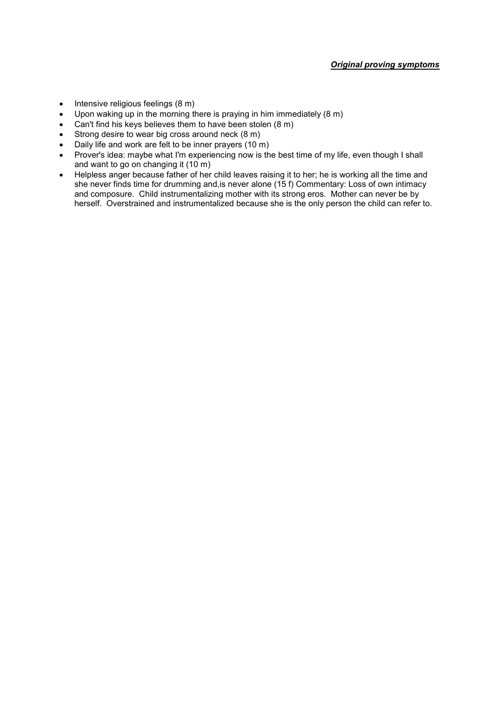- $\bullet$  Intensive religious feelings (8 m)
- Upon waking up in the morning there is praying in him immediately (8 m)
- Can't find his keys believes them to have been stolen (8 m)
- Strong desire to wear big cross around neck (8 m)
- Daily life and work are felt to be inner prayers (10 m)
- Prover's idea: maybe what I'm experiencing now is the best time of my life, even though I shall and want to go on changing it (10 m)
- Helpless anger because father of her child leaves raising it to her; he is working all the time and she never finds time for drumming and,is never alone (15 f) Commentary: Loss of own intimacy and composure. Child instrumentalizing mother with its strong eros. Mother can never be by herself. Overstrained and instrumentalized because she is the only person the child can refer to.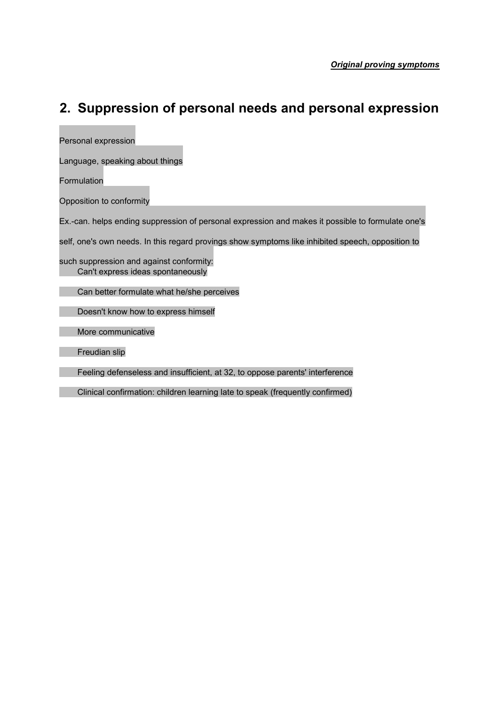## **2. Suppression of personal needs and personal expression**

**Contract Contract Contract** 

| Personal expression                                                                               |
|---------------------------------------------------------------------------------------------------|
| Language, speaking about things                                                                   |
| Formulation                                                                                       |
| Opposition to conformity                                                                          |
| Ex.-can. helps ending suppression of personal expression and makes it possible to formulate one's |
| self, one's own needs. In this regard provings show symptoms like inhibited speech, opposition to |
| such suppression and against conformity:<br>Can't express ideas spontaneously                     |
| Can better formulate what he/she perceives                                                        |
| Doesn't know how to express himself                                                               |
| More communicative                                                                                |
| Freudian slip                                                                                     |
| Feeling defenseless and insufficient, at 32, to oppose parents' interference                      |
| Clinical confirmation: children learning late to speak (frequently confirmed)                     |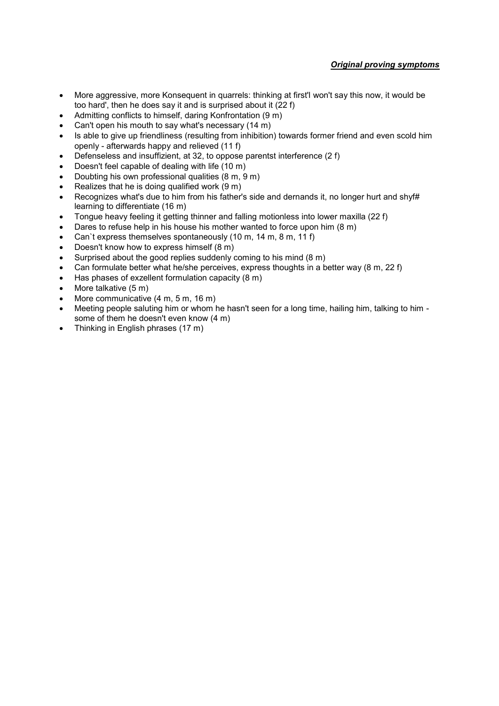#### *Original proving symptoms*

- More aggressive, more Konsequent in quarrels: thinking at first'l won't say this now, it would be too hard', then he does say it and is surprised about it (22 f)
- Admitting conflicts to himself, daring Konfrontation (9 m)
- Can't open his mouth to say what's necessary (14 m)
- Is able to give up friendliness (resulting from inhibition) towards former friend and even scold him openly - afterwards happy and relieved (11 f)
- Defenseless and insuffizient, at 32, to oppose parentst interference (2 f)
- Doesn't feel capable of dealing with life (10 m)
- Doubting his own professional qualities (8 m, 9 m)
- Realizes that he is doing qualified work (9 m)
- Recognizes what's due to him from his father's side and dernands it, no longer hurt and shyf# learning to differentiate (16 m)
- Tongue heavy feeling it getting thinner and falling motionless into lower maxilla (22 f)
- Dares to refuse help in his house his mother wanted to force upon him (8 m)
- Can`t express themselves spontaneously (10 m, 14 m, 8 m, 11 f)
- Doesn't know how to express himself (8 m)
- Surprised about the good replies suddenly coming to his mind (8 m)
- Can formulate better what he/she perceives, express thoughts in a better way  $(8 \text{ m}, 22 \text{ f})$
- Has phases of exzellent formulation capacity (8 m)
- More talkative (5 m)
- More communicative (4 m, 5 m, 16 m)
- Meeting people saluting him or whom he hasn't seen for a long time, hailing him, talking to him some of them he doesn't even know (4 m)
- Thinking in English phrases (17 m)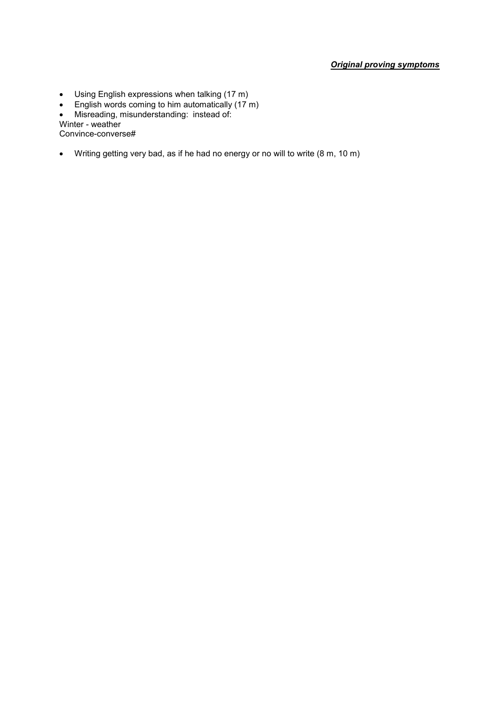#### *Original proving symptoms*

- Using English expressions when talking (17 m)
- **English words coming to him automatically (17 m)**
- Misreading, misunderstanding: instead of:

Winter - weather

Convince-converse#

Writing getting very bad, as if he had no energy or no will to write (8 m, 10 m)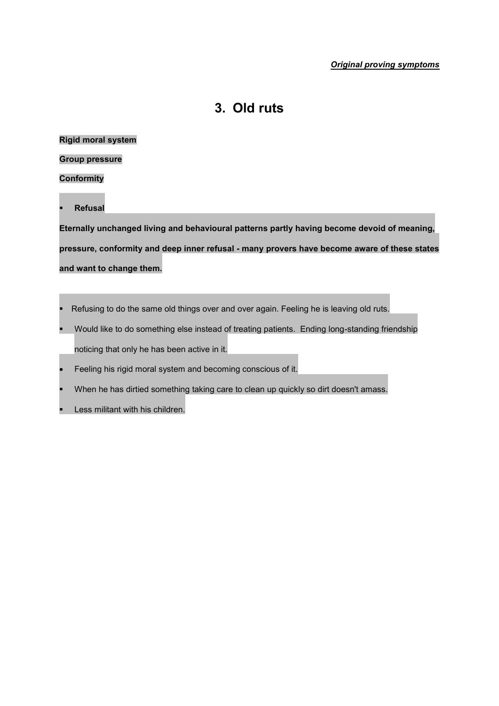### **3. Old ruts**

#### **Rigid moral system**

#### **Group pressure**

#### **Conformity**

**Refusal**

**Eternally unchanged living and behavioural patterns partly having become devoid of meaning, pressure, conformity and deep inner refusal - many provers have become aware of these states and want to change them.**

- Refusing to do the same old things over and over again. Feeling he is leaving old ruts.
- Would like to do something else instead of treating patients. Ending long-standing friendship noticing that only he has been active in it.
- Feeling his rigid moral system and becoming conscious of it.
- When he has dirtied something taking care to clean up quickly so dirt doesn't amass.
- Less militant with his children.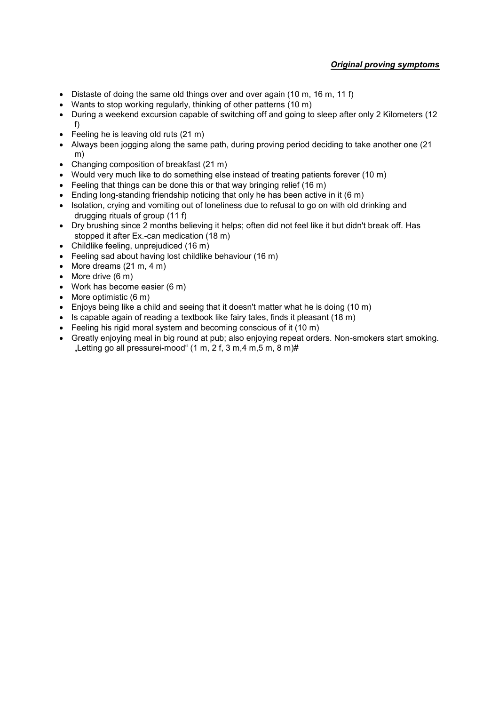- Distaste of doing the same old things over and over again (10 m, 16 m, 11 f)
- Wants to stop working regularly, thinking of other patterns (10 m)
- During a weekend excursion capable of switching off and going to sleep after only 2 Kilometers (12 f)
- Feeling he is leaving old ruts (21 m)
- Always been jogging along the same path, during proving period deciding to take another one (21) m)
- Changing composition of breakfast (21 m)
- Would very much like to do something else instead of treating patients forever (10 m)
- Feeling that things can be done this or that way bringing relief (16 m)
- Ending long-standing friendship noticing that only he has been active in it  $(6 \text{ m})$
- Isolation, crying and vomiting out of loneliness due to refusal to go on with old drinking and drugging rituals of group (11 f)
- Dry brushing since 2 months believing it helps; often did not feel like it but didn't break off. Has stopped it after Ex.-can medication (18 m)
- Childlike feeling, unprejudiced (16 m)
- Feeling sad about having lost childlike behaviour (16 m)
- $\bullet$  More dreams (21 m, 4 m)
- $\bullet$  More drive (6 m)
- Work has become easier (6 m)
- $\bullet$  More optimistic (6 m)
- Enjoys being like a child and seeing that it doesn't matter what he is doing (10 m)
- $\bullet$  Is capable again of reading a textbook like fairy tales, finds it pleasant (18 m)
- Feeling his rigid moral system and becoming conscious of it (10 m)
- Greatly enjoying meal in big round at pub; also enjoying repeat orders. Non-smokers start smoking. "Letting go all pressurei-mood"  $(1 \text{ m}, 2 \text{ f}, 3 \text{ m}, 4 \text{ m}, 5 \text{ m}, 8 \text{ m})$ #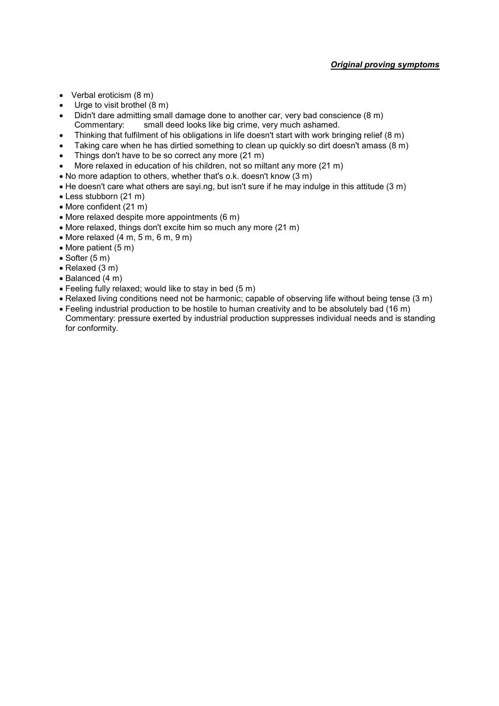- Verbal eroticism (8 m)
- Urge to visit brothel (8 m)
- Didn't dare admitting small damage done to another car, very bad conscience (8 m) Commentary: small deed looks like big crime, very much ashamed.
- Thinking that fulfilment of his obligations in life doesn't start with work bringing relief (8 m)
- Taking care when he has dirtied something to clean up quickly so dirt doesn't amass (8 m)
- Things don't have to be so correct any more (21 m)
- More relaxed in education of his children, not so miltant any more (21 m)
- No more adaption to others, whether that's o.k. doesn't know (3 m)
- He doesn't care what others are sayi.ng, but isn't sure if he may indulge in this attitude (3 m)
- Less stubborn (21 m)
- More confident (21 m)
- More relaxed despite more appointments (6 m)
- More relaxed, things don't excite him so much any more (21 m)
- $\bullet$  More relaxed (4 m, 5 m, 6 m, 9 m)
- $\bullet$  More patient (5 m)
- $\bullet$  Softer (5 m)
- Relaxed (3 m)
- $\bullet$  Balanced (4 m)
- Feeling fully relaxed; would like to stay in bed (5 m)
- Relaxed living conditions need not be harmonic; capable of observing life without being tense (3 m)
- Feeling industrial production to be hostile to human creativity and to be absolutely bad (16 m) Commentary: pressure exerted by industrial production suppresses individual needs and is standing for conformity.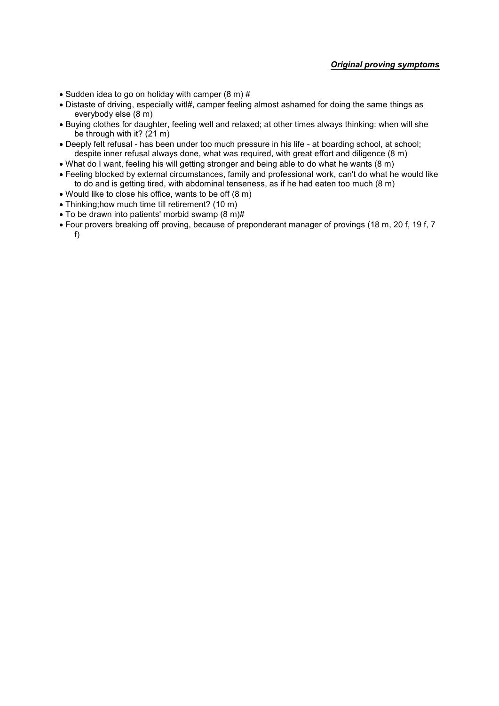- $\bullet$  Sudden idea to go on holiday with camper (8 m) #
- Distaste of driving, especially witl#, camper feeling almost ashamed for doing the same things as everybody else (8 m)
- Buying clothes for daughter, feeling well and relaxed; at other times always thinking: when will she be through with it? (21 m)
- Deeply felt refusal has been under too much pressure in his life at boarding school, at school; despite inner refusal always done, what was required, with great effort and diligence (8 m)
- What do I want, feeling his will getting stronger and being able to do what he wants (8 m)
- Feeling blocked by external circumstances, family and professional work, can't do what he would like to do and is getting tired, with abdominal tenseness, as if he had eaten too much (8 m)
- Would like to close his office, wants to be off (8 m)
- Thinking;how much time till retirement? (10 m)
- To be drawn into patients' morbid swamp (8 m)#
- Four provers breaking off proving, because of preponderant manager of provings (18 m, 20 f, 19 f, 7 f)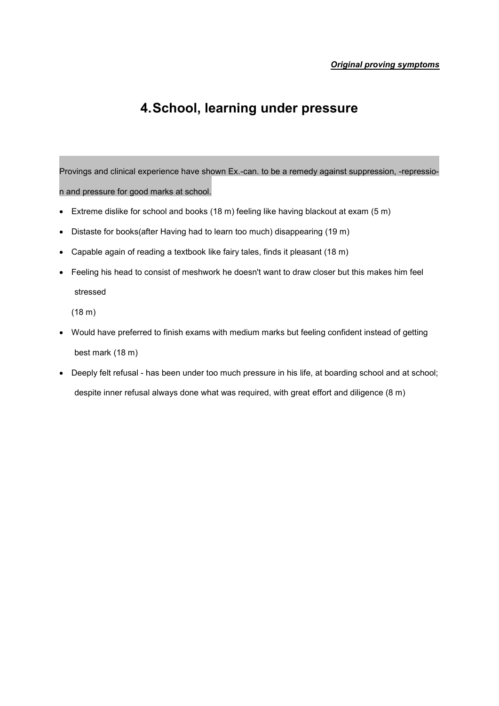# **4.School, learning under pressure**

Provings and clinical experience have shown Ex.-can. to be a remedy against suppression, -repression and pressure for good marks at school.

- Extreme dislike for school and books (18 m) feeling like having blackout at exam (5 m)
- Distaste for books(after Having had to learn too much) disappearing (19 m)
- Capable again of reading a textbook like fairy tales, finds it pleasant (18 m)
- Feeling his head to consist of meshwork he doesn't want to draw closer but this makes him feel stressed

(18 m)

- Would have preferred to finish exams with medium marks but feeling confident instead of getting best mark (18 m)
- Deeply felt refusal has been under too much pressure in his life, at boarding school and at school; despite inner refusal always done what was required, with great effort and diligence (8 m)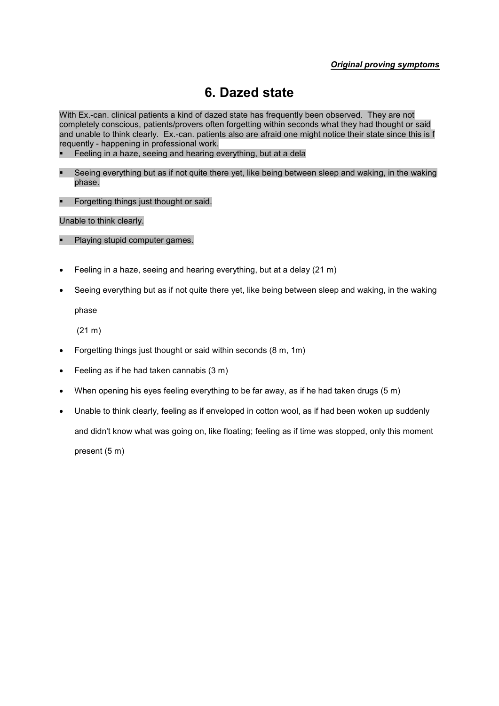# **6. Dazed state**

With Ex.-can. clinical patients a kind of dazed state has frequently been observed. They are not completely conscious, patients/provers often forgetting within seconds what they had thought or said and unable to think clearly. Ex.-can. patients also are afraid one might notice their state since this is f requently - happening in professional work.

- Feeling in a haze, seeing and hearing everything, but at a dela
- Seeing everything but as if not quite there yet, like being between sleep and waking, in the waking phase.
- **Forgetting things just thought or said.**

Unable to think clearly.

- Playing stupid computer games.
- Feeling in a haze, seeing and hearing everything, but at a delay (21 m)
- Seeing everything but as if not quite there yet, like being between sleep and waking, in the waking phase

(21 m)

- Forgetting things just thought or said within seconds (8 m, 1m)
- Feeling as if he had taken cannabis (3 m)
- When opening his eyes feeling everything to be far away, as if he had taken drugs (5 m)
- Unable to think clearly, feeling as if enveloped in cotton wool, as if had been woken up suddenly and didn't know what was going on, like floating; feeling as if time was stopped, only this moment present (5 m)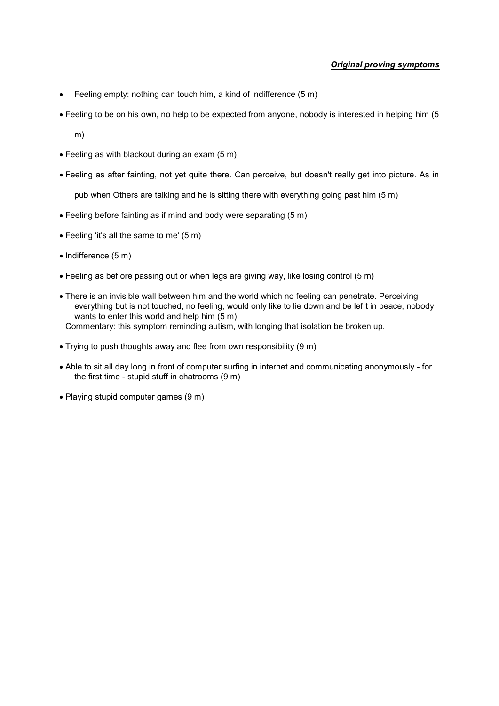- Feeling empty: nothing can touch him, a kind of indifference (5 m)
- Feeling to be on his own, no help to be expected from anyone, nobody is interested in helping him (5

m)

- Feeling as with blackout during an exam (5 m)
- Feeling as after fainting, not yet quite there. Can perceive, but doesn't really get into picture. As in

pub when Others are talking and he is sitting there with everything going past him (5 m)

- Feeling before fainting as if mind and body were separating (5 m)
- Feeling 'it's all the same to me' (5 m)
- $\bullet$  Indifference (5 m)
- Feeling as bef ore passing out or when legs are giving way, like losing control (5 m)
- There is an invisible wall between him and the world which no feeling can penetrate. Perceiving everything but is not touched, no feeling, would only like to lie down and be lef t in peace, nobody wants to enter this world and help him (5 m) Commentary: this symptom reminding autism, with longing that isolation be broken up.
- Trying to push thoughts away and flee from own responsibility (9 m)
- Able to sit all day long in front of computer surfing in internet and communicating anonymously for the first time - stupid stuff in chatrooms (9 m)
- Playing stupid computer games (9 m)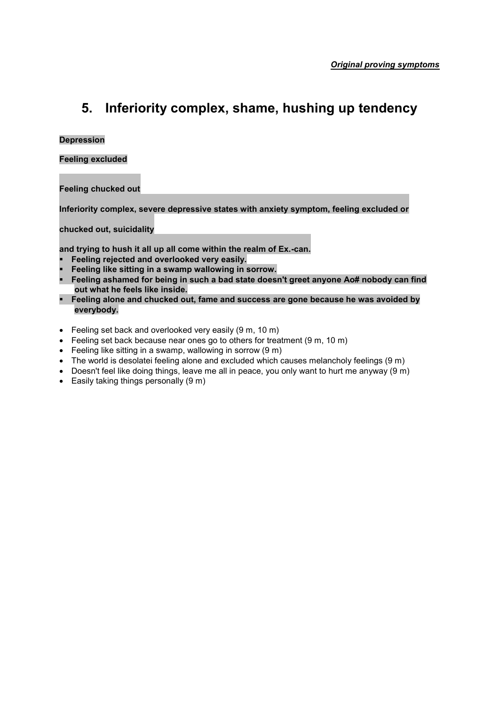# **5. Inferiority complex, shame, hushing up tendency**

#### **Depression**

**Feeling excluded**

**Feeling chucked out**

**Inferiority complex, severe depressive states with anxiety symptom, feeling excluded or** 

**chucked out, suicidality** 

**and trying to hush it all up all come within the realm of Ex.-can.**

- **Feeling rejected and overlooked very easily.**
- **Feeling like sitting in a swamp wallowing in sorrow.**
- **Feeling ashamed for being in such a bad state doesn't greet anyone Ao# nobody can find out what he feels like inside.**
- **Feeling alone and chucked out, fame and success are gone because he was avoided by everybody.**
- Feeling set back and overlooked very easily (9 m, 10 m)
- Feeling set back because near ones go to others for treatment (9 m, 10 m)
- Feeling like sitting in a swamp, wallowing in sorrow (9 m)
- The world is desolatei feeling alone and excluded which causes melancholy feelings (9 m)
- Doesn't feel like doing things, leave me all in peace, you only want to hurt me anyway (9 m)
- $\bullet$  Easily taking things personally (9 m)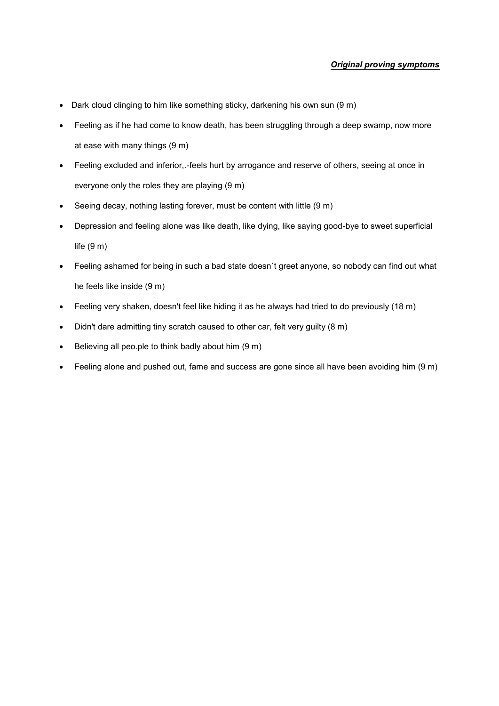- Dark cloud clinging to him like something sticky, darkening his own sun (9 m)
- Feeling as if he had come to know death, has been struggling through a deep swamp, now more at ease with many things (9 m)
- Feeling excluded and inferior,.-feels hurt by arrogance and reserve of others, seeing at once in everyone only the roles they are playing (9 m)
- Seeing decay, nothing lasting forever, must be content with little (9 m)
- Depression and feeling alone was like death, like dying, like saying good-bye to sweet superficial life (9 m)
- Feeling ashamed for being in such a bad state doesn´t greet anyone, so nobody can find out what he feels like inside (9 m)
- Feeling very shaken, doesn't feel like hiding it as he always had tried to do previously (18 m)
- Didn't dare admitting tiny scratch caused to other car, felt very guilty (8 m)
- $\bullet$  Believing all peo.ple to think badly about him  $(9 \text{ m})$
- Feeling alone and pushed out, fame and success are gone since all have been avoiding him (9 m)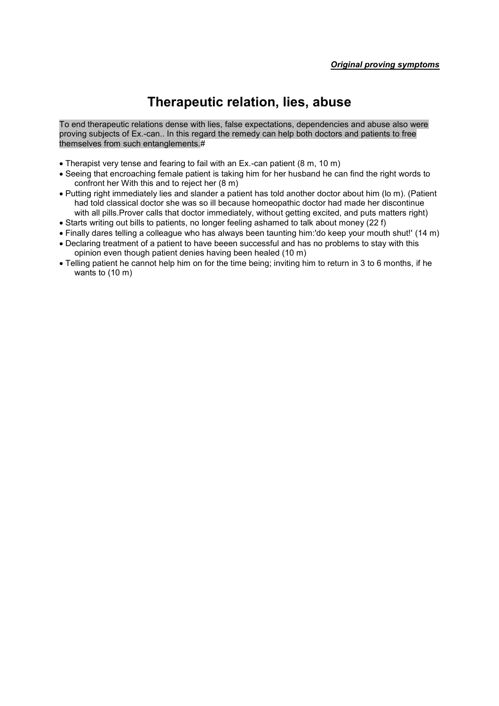# **Therapeutic relation, lies, abuse**

To end therapeutic relations dense with lies, false expectations, dependencies and abuse also were proving subjects of Ex.-can.. In this regard the remedy can help both doctors and patients to free themselves from such entanglements.#

- Therapist very tense and fearing to fail with an Ex.-can patient (8 m, 10 m)
- Seeing that encroaching female patient is taking him for her husband he can find the right words to confront her With this and to reject her (8 m)
- Putting right immediately lies and slander a patient has told another doctor about him (lo m). (Patient had told classical doctor she was so ill because homeopathic doctor had made her discontinue with all pills.Prover calls that doctor immediately, without getting excited, and puts matters right)
- Starts writing out bills to patients, no longer feeling ashamed to talk about money (22 f)
- Finally dares telling a colleague who has always been taunting him:'do keep your mouth shut!' (14 m)
- Declaring treatment of a patient to have beeen successful and has no problems to stay with this opinion even though patient denies having been healed (10 m)
- Telling patient he cannot help him on for the time being; inviting him to return in 3 to 6 months, if he wants to (10 m)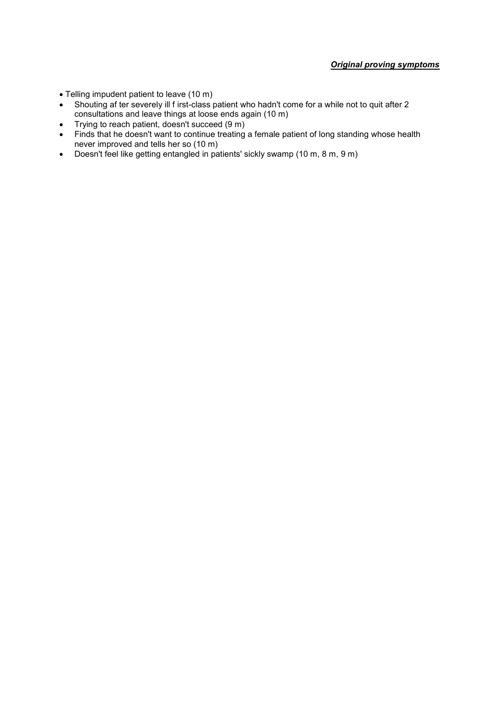- Telling impudent patient to leave (10 m)
- Shouting af ter severely ill f irst-class patient who hadn't come for a while not to quit after 2 consultations and leave things at loose ends again (10 m)
- Trying to reach patient, doesn't succeed (9 m)
- Finds that he doesn't want to continue treating a female patient of long standing whose health never improved and tells her so (10 m)
- Doesn't feel like getting entangled in patients' sickly swamp (10 m, 8 m, 9 m)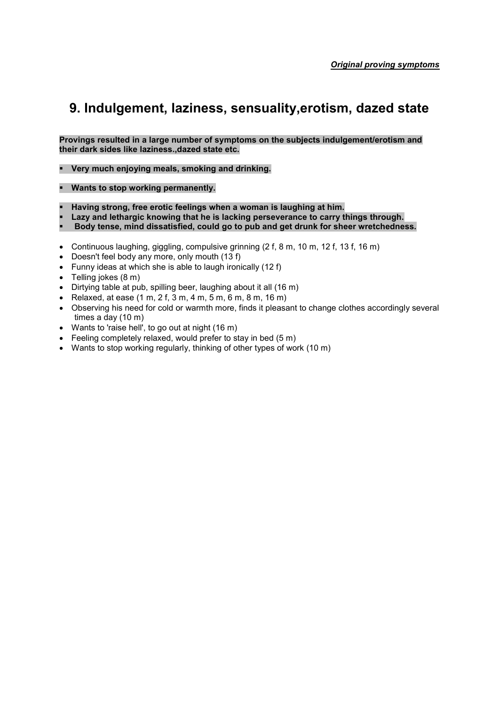# **9. Indulgement, laziness, sensuality,erotism, dazed state**

**Provings resulted in a large number of symptoms on the subjects indulgement/erotism and their dark sides like laziness.,dazed state etc.**

**Very much enjoying meals, smoking and drinking.**

**Wants to stop working permanently.**

- **Having strong, free erotic feelings when a woman is laughing at him.**
- **Lazy and lethargic knowing that he is lacking perseverance to carry things through.**
- **Body tense, mind dissatisfied, could go to pub and get drunk for sheer wretchedness.**
- Continuous laughing, giggling, compulsive grinning  $(2 f, 8 m, 10 m, 12 f, 13 f, 16 m)$
- Doesn't feel body any more, only mouth (13 f)
- Funny ideas at which she is able to laugh ironically (12 f)
- Telling jokes (8 m)
- Dirtying table at pub, spilling beer, laughing about it all (16 m)
- Relaxed, at ease  $(1 \text{ m}, 2 \text{ f}, 3 \text{ m}, 4 \text{ m}, 5 \text{ m}, 6 \text{ m}, 8 \text{ m}, 16 \text{ m})$
- Observing his need for cold or warmth more, finds it pleasant to change clothes accordingly several times a day (10 m)
- Wants to 'raise hell', to go out at night (16 m)
- $\bullet$  Feeling completely relaxed, would prefer to stay in bed (5 m)
- Wants to stop working regularly, thinking of other types of work (10 m)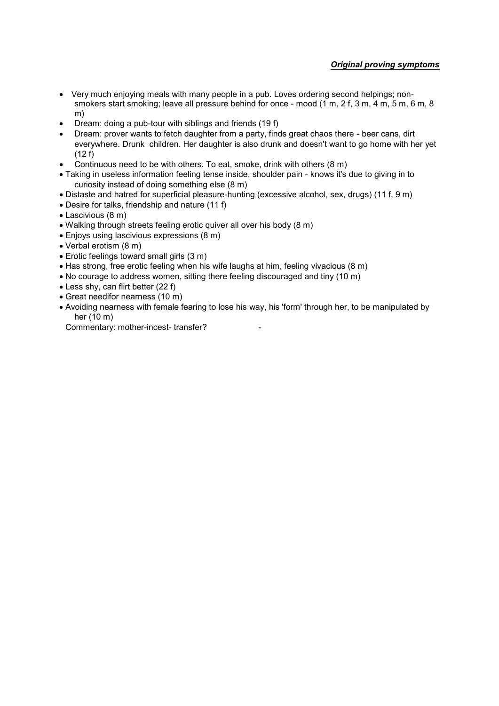- Very much enjoying meals with many people in a pub. Loves ordering second helpings; nonsmokers start smoking; leave all pressure behind for once - mood (1 m, 2 f, 3 m, 4 m, 5 m, 6 m, 8 m)
- Dream: doing a pub-tour with siblings and friends (19 f)
- Dream: prover wants to fetch daughter from a party, finds great chaos there beer cans, dirt everywhere. Drunk children. Her daughter is also drunk and doesn't want to go home with her yet (12 f)
- Continuous need to be with others. To eat, smoke, drink with others (8 m)
- Taking in useless information feeling tense inside, shoulder pain knows it's due to giving in to curiosity instead of doing something else (8 m)
- Distaste and hatred for superficial pleasure-hunting (excessive alcohol, sex, drugs) (11 f, 9 m)
- Desire for talks, friendship and nature (11 f)
- Lascivious (8 m)
- Walking through streets feeling erotic quiver all over his body (8 m)
- Enjoys using lascivious expressions (8 m)
- Verbal erotism (8 m)
- Erotic feelings toward small girls (3 m)
- Has strong, free erotic feeling when his wife laughs at him, feeling vivacious (8 m)
- No courage to address women, sitting there feeling discouraged and tiny (10 m)
- Less shy, can flirt better (22 f)
- Great needifor nearness (10 m)
- Avoiding nearness with female fearing to lose his way, his 'form' through her, to be manipulated by her (10 m)

Commentary: mother-incest- transfer?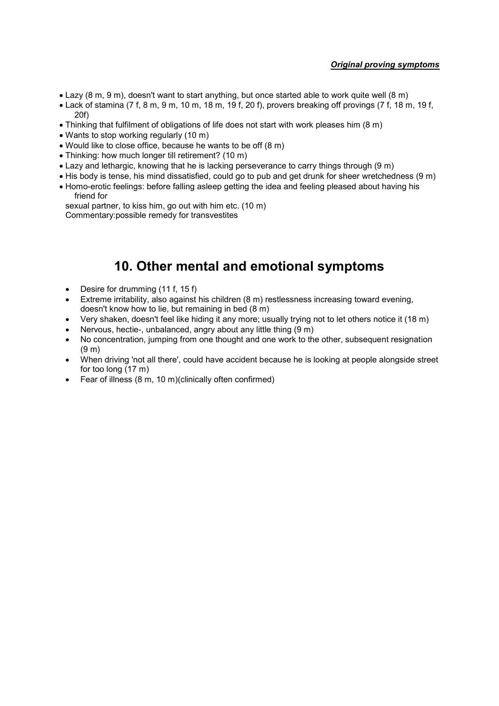- Lazy (8 m, 9 m), doesn't want to start anything, but once started able to work quite well (8 m)
- Lack of stamina (7 f, 8 m, 9 m, 10 m, 18 m, 19 f, 20 f), provers breaking off provings (7 f, 18 m, 19 f, 20f)
- Thinking that fulfilment of obligations of life does not start with work pleases him (8 m)
- Wants to stop working regularly (10 m)
- Would like to close office, because he wants to be off (8 m)
- Thinking: how much longer till retirement? (10 m)
- Lazy and lethargic, knowing that he is lacking perseverance to carry things through (9 m)
- His body is tense, his mind dissatisfied, could go to pub and get drunk for sheer wretchedness (9 m)
- Homo-erotic feelings: before falling asleep getting the idea and feeling pleased about having his friend for

sexual partner, to kiss him, go out with him etc. (10 m) Commentary:possible remedy for transvestites

# **10. Other mental and emotional symptoms**

- Desire for drumming (11 f, 15 f)
- Extreme irritability, also against his children (8 m) restlessness increasing toward evening, doesn't know how to lie, but remaining in bed (8 m)
- Very shaken, doesn't feel like hiding it any more; usually trying not to let others notice it (18 m)
- Nervous, hectie-, unbalanced, angry about any little thing (9 m)
- No concentration, jumping from one thought and one work to the other, subsequent resignation (9 m)
- When driving 'not all there', could have accident because he is looking at people alongside street for too long (17 m)
- Fear of illness (8 m, 10 m)(clinically often confirmed)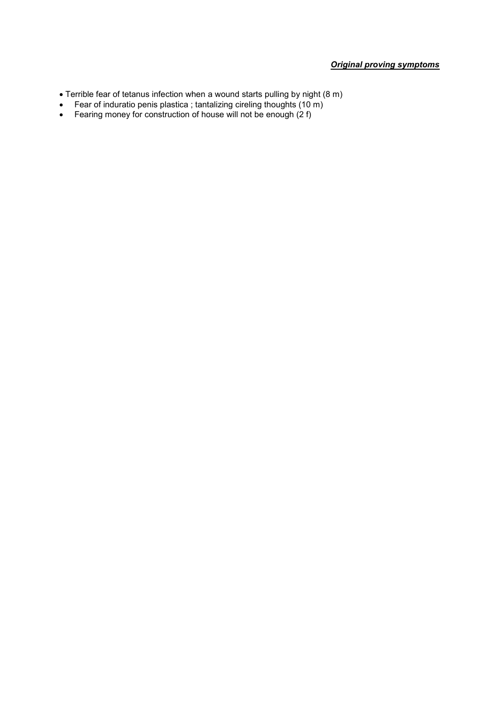- Terrible fear of tetanus infection when a wound starts pulling by night (8 m)
- Fear of induratio penis plastica ; tantalizing cireling thoughts (10 m)
- Fearing money for construction of house will not be enough (2 f)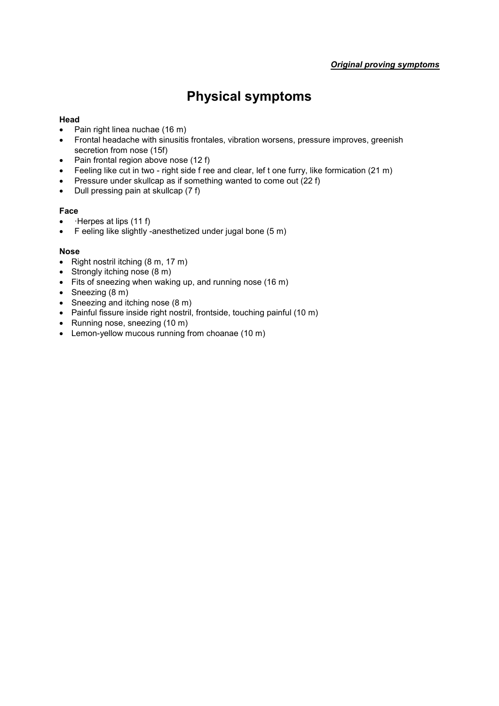# **Physical symptoms**

# **Head**

- Pain right linea nuchae (16 m)
- Frontal headache with sinusitis frontales, vibration worsens, pressure improves, greenish secretion from nose (15f)
- $\bullet$  Pain frontal region above nose (12 f)
- Feeling like cut in two right side f ree and clear, lef t one furry, like formication (21 m)
- Pressure under skullcap as if something wanted to come out (22 f)
- $\bullet$  Dull pressing pain at skullcap (7 f)

# **Face**

- $\bullet$  · Herpes at lips (11 f)
- F eeling like slightly -anesthetized under jugal bone (5 m)

### **Nose**

- Right nostril itching  $(8 \text{ m}, 17 \text{ m})$
- Strongly itching nose (8 m)
- Fits of sneezing when waking up, and running nose (16 m)
- Sneezing (8 m)
- Sneezing and itching nose (8 m)
- Painful fissure inside right nostril, frontside, touching painful (10 m)
- Running nose, sneezing (10 m)
- Lemon-yellow mucous running from choanae (10 m)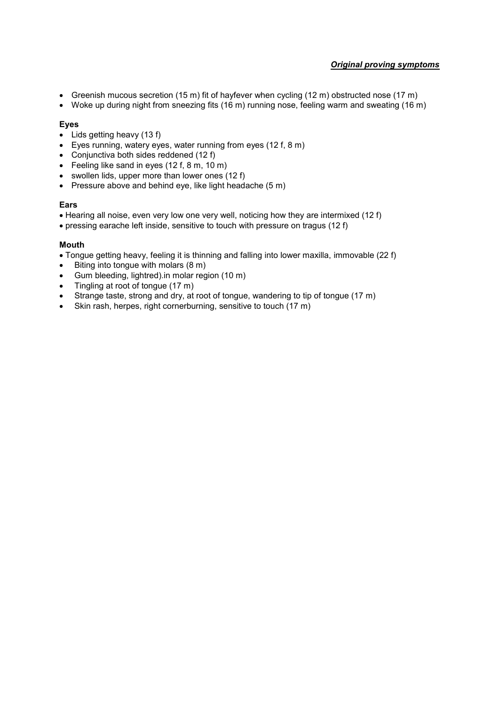- Greenish mucous secretion (15 m) fit of hayfever when cycling (12 m) obstructed nose (17 m)
- Woke up during night from sneezing fits (16 m) running nose, feeling warm and sweating (16 m)

### **Eyes**

- $\bullet$  Lids getting heavy (13 f)
- Eyes running, watery eyes, water running from eyes (12 f, 8 m)
- Conjunctiva both sides reddened (12 f)
- Feeling like sand in eyes (12 f, 8 m, 10 m)
- swollen lids, upper more than lower ones (12 f)
- Pressure above and behind eye, like light headache  $(5 \text{ m})$

### **Ears**

- Hearing all noise, even very low one very well, noticing how they are intermixed (12 f)
- pressing earache left inside, sensitive to touch with pressure on tragus (12 f)

#### **Mouth**

- Tongue getting heavy, feeling it is thinning and falling into lower maxilla, immovable (22 f)
- $\bullet$  Biting into tongue with molars  $(8 \text{ m})$
- Gum bleeding, lightred).in molar region (10 m)
- Tingling at root of tongue (17 m)
- Strange taste, strong and dry, at root of tongue, wandering to tip of tongue (17 m)
- Skin rash, herpes, right cornerburning, sensitive to touch (17 m)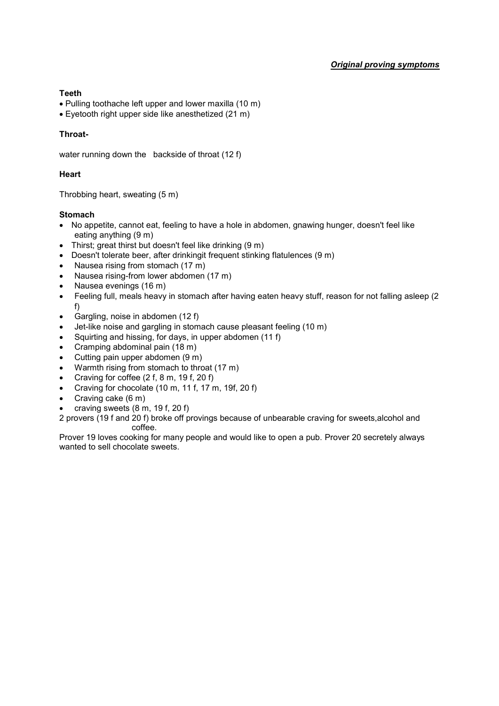### **Teeth**

- Pulling toothache left upper and lower maxilla (10 m)
- Eyetooth right upper side like anesthetized (21 m)

# **Throat-**

water running down the backside of throat (12 f)

# **Heart**

Throbbing heart, sweating (5 m)

### **Stomach**

- No appetite, cannot eat, feeling to have a hole in abdomen, gnawing hunger, doesn't feel like eating anything (9 m)
- Thirst; great thirst but doesn't feel like drinking (9 m)
- Doesn't tolerate beer, after drinkingit frequent stinking flatulences (9 m)
- Nausea rising from stomach (17 m)
- Nausea rising-from lower abdomen (17 m)
- Nausea evenings (16 m)
- Feeling full, meals heavy in stomach after having eaten heavy stuff, reason for not falling asleep (2 f)
- Gargling, noise in abdomen (12 f)
- Jet-like noise and gargling in stomach cause pleasant feeling (10 m)
- Squirting and hissing, for days, in upper abdomen (11 f)
- Cramping abdominal pain (18 m)
- Cutting pain upper abdomen (9 m)
- Warmth rising from stomach to throat (17 m)
- Craving for coffee  $(2 f, 8 m, 19 f, 20 f)$
- Craving for chocolate (10 m, 11 f, 17 m, 19f, 20 f)
- Craving cake (6 m)
- craving sweets (8 m, 19 f, 20 f)

2 provers (19 f and 20 f) broke off provings because of unbearable craving for sweets,alcohol and coffee.

Prover 19 loves cooking for many people and would like to open a pub. Prover 20 secretely always wanted to sell chocolate sweets.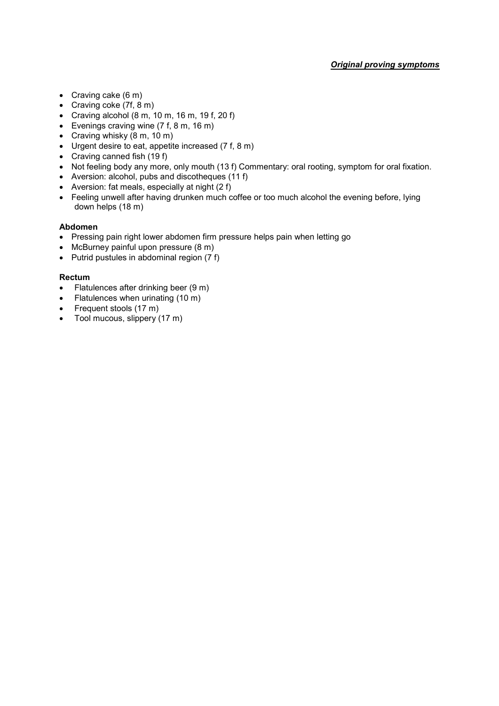- Craving cake (6 m)
- Craving coke (7f, 8 m)
- Craving alcohol  $(8 \text{ m}, 10 \text{ m}, 16 \text{ m}, 19 \text{ f}, 20 \text{ f})$
- Evenings craving wine (7 f, 8 m, 16 m)
- Craving whisky (8 m, 10 m)
- Urgent desire to eat, appetite increased (7 f, 8 m)
- Craving canned fish (19 f)
- Not feeling body any more, only mouth (13 f) Commentary: oral rooting, symptom for oral fixation.
- Aversion: alcohol, pubs and discotheques (11 f)
- Aversion: fat meals, especially at night (2 f)
- Feeling unwell after having drunken much coffee or too much alcohol the evening before, lying down helps (18 m)

# **Abdomen**

- Pressing pain right lower abdomen firm pressure helps pain when letting go
- McBurney painful upon pressure (8 m)
- $\bullet$  Putrid pustules in abdominal region (7 f)

#### **Rectum**

- Flatulences after drinking beer (9 m)
- Flatulences when urinating (10 m)
- Frequent stools (17 m)
- Tool mucous, slippery (17 m)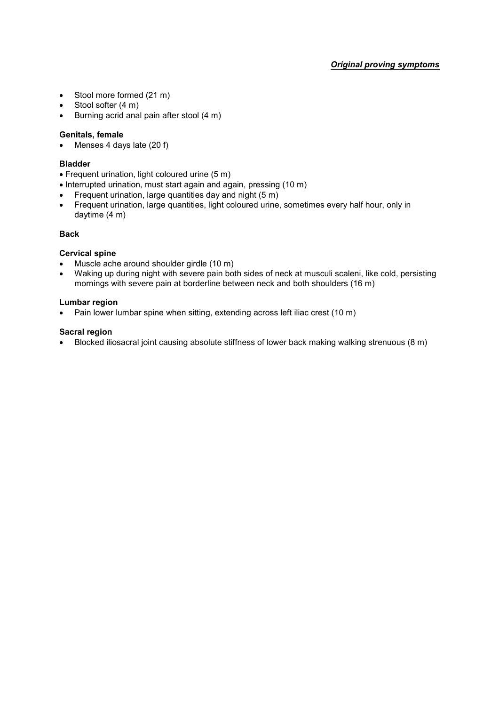- Stool more formed (21 m)
- Stool softer (4 m)
- $\bullet$  Burning acrid anal pain after stool  $(4 \text{ m})$

#### **Genitals, female**

• Menses 4 days late (20 f)

#### **Bladder**

- Frequent urination, light coloured urine (5 m)
- Interrupted urination, must start again and again, pressing (10 m)
- Frequent urination, large quantities day and night (5 m)
- Frequent urination, large quantities, light coloured urine, sometimes every half hour, only in daytime (4 m)

# **Back**

#### **Cervical spine**

- Muscle ache around shoulder girdle (10 m)
- Waking up during night with severe pain both sides of neck at musculi scaleni, like cold, persisting mornings with severe pain at borderline between neck and both shoulders (16 m)

#### **Lumbar region**

Pain lower lumbar spine when sitting, extending across left iliac crest (10 m)

#### **Sacral region**

Blocked iliosacral joint causing absolute stiffness of lower back making walking strenuous (8 m)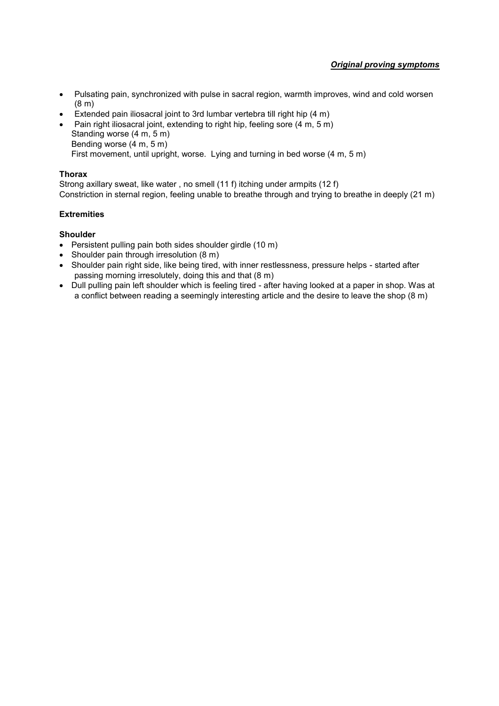- Pulsating pain, synchronized with pulse in sacral region, warmth improves, wind and cold worsen (8 m)
- Extended pain iliosacral joint to 3rd lumbar vertebra till right hip (4 m)
- Pain right iliosacral joint, extending to right hip, feeling sore (4 m, 5 m) Standing worse (4 m, 5 m) Bending worse (4 m, 5 m)

First movement, until upright, worse. Lying and turning in bed worse (4 m, 5 m)

### **Thorax**

Strong axillary sweat, like water , no smell (11 f) itching under armpits (12 f) Constriction in sternal region, feeling unable to breathe through and trying to breathe in deeply (21 m)

# **Extremities**

# **Shoulder**

- Persistent pulling pain both sides shoulder girdle (10 m)
- Shoulder pain through irresolution (8 m)
- Shoulder pain right side, like being tired, with inner restlessness, pressure helps started after passing morning irresolutely, doing this and that (8 m)
- Dull pulling pain left shoulder which is feeling tired after having looked at a paper in shop. Was at a conflict between reading a seemingly interesting article and the desire to leave the shop (8 m)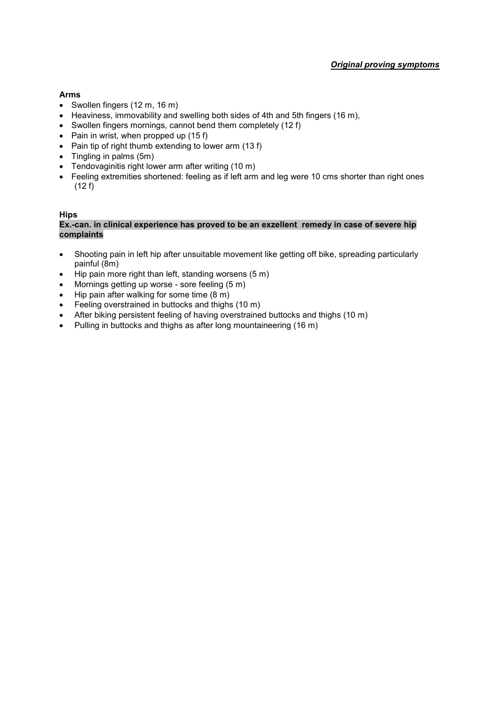# **Arms**

- Swollen fingers (12 m, 16 m)
- Heaviness, immovability and swelling both sides of 4th and 5th fingers (16 m),
- Swollen fingers mornings, cannot bend them completely (12 f)
- Pain in wrist, when propped up  $(15 f)$
- Pain tip of right thumb extending to lower arm  $(13 f)$
- Tingling in palms (5m)
- Tendovaginitis right lower arm after writing (10 m)
- Feeling extremities shortened: feeling as if left arm and leg were 10 cms shorter than right ones (12 f)

#### **Hips**

#### **Ex.-can. in clinical experience has proved to be an exzellent remedy in case of severe hip complaints**

- Shooting pain in left hip after unsuitable movement like getting off bike, spreading particularly painful (8m)
- $\bullet$  Hip pain more right than left, standing worsens (5 m)
- Mornings getting up worse sore feeling (5 m)
- Hip pain after walking for some time (8 m)
- Feeling overstrained in buttocks and thighs (10 m)
- After biking persistent feeling of having overstrained buttocks and thighs (10 m)
- Pulling in buttocks and thighs as after long mountaineering (16 m)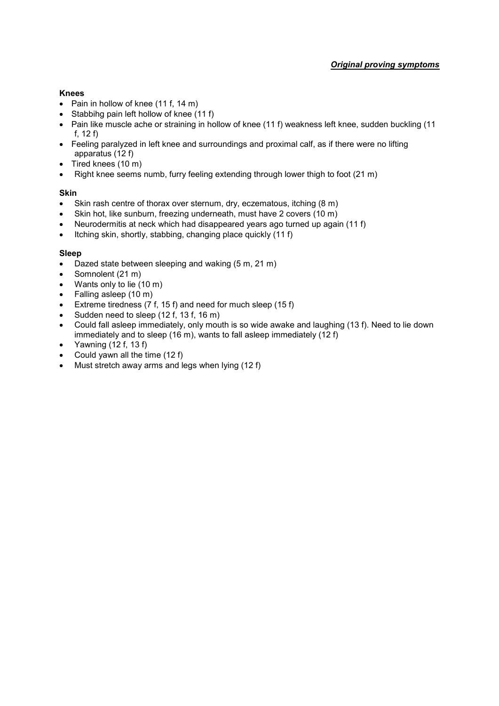# **Knees**

- Pain in hollow of knee  $(11 f, 14 m)$
- Stabbihg pain left hollow of knee (11 f)
- Pain like muscle ache or straining in hollow of knee (11 f) weakness left knee, sudden buckling (11 f, 12 f)
- Feeling paralyzed in left knee and surroundings and proximal calf, as if there were no lifting apparatus (12 f)
- $\bullet$  Tired knees (10 m)
- Right knee seems numb, furry feeling extending through lower thigh to foot (21 m)

### **Skin**

- Skin rash centre of thorax over sternum, dry, eczematous, itching (8 m)
- Skin hot, like sunburn, freezing underneath, must have 2 covers (10 m)
- Neurodermitis at neck which had disappeared years ago turned up again (11 f)
- $\bullet$  Itching skin, shortly, stabbing, changing place quickly (11 f)

### **Sleep**

- Dazed state between sleeping and waking (5 m, 21 m)
- Somnolent (21 m)
- Wants only to lie (10 m)
- Falling asleep (10 m)
- Extreme tiredness (7 f, 15 f) and need for much sleep (15 f)
- Sudden need to sleep (12 f, 13 f, 16 m)
- Could fall asleep immediately, only mouth is so wide awake and laughing (13 f). Need to lie down immediately and to sleep (16 m), wants to fall asleep immediately (12 f)
- Yawning  $(12 f, 13 f)$
- Could yawn all the time (12 f)
- Must stretch away arms and legs when lying (12 f)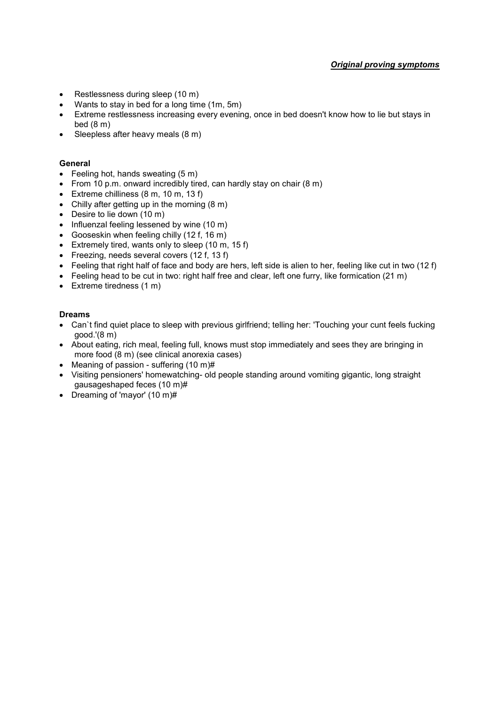- Restlessness during sleep (10 m)
- Wants to stay in bed for a long time (1m, 5m)
- Extreme restlessness increasing every evening, once in bed doesn't know how to lie but stays in bed (8 m)
- $\bullet$  Sleepless after heavy meals  $(8 \text{ m})$

#### **General**

- $\bullet$  Feeling hot, hands sweating  $(5 \text{ m})$
- From 10 p.m. onward incredibly tired, can hardly stay on chair (8 m)
- Extreme chilliness  $(8 \text{ m}, 10 \text{ m}, 13 \text{ f})$
- Chilly after getting up in the morning  $(8 \text{ m})$
- Desire to lie down (10 m)
- Influenzal feeling lessened by wine (10 m)
- Gooseskin when feeling chilly (12 f, 16 m)
- Extremely tired, wants only to sleep (10 m, 15 f)
- Freezing, needs several covers (12 f, 13 f)
- $\bullet$  Feeling that right half of face and body are hers, left side is alien to her, feeling like cut in two (12 f)
- $\bullet$  Feeling head to be cut in two: right half free and clear, left one furry, like formication (21 m)
- Extreme tiredness (1 m)

#### **Dreams**

- Can`t find quiet place to sleep with previous girlfriend; telling her: 'Touching your cunt feels fucking good.'(8 m)
- About eating, rich meal, feeling full, knows must stop immediately and sees they are bringing in more food (8 m) (see clinical anorexia cases)
- Meaning of passion suffering (10 m)#
- Visiting pensioners' homewatching- old people standing around vomiting gigantic, long straight gausageshaped feces (10 m)#
- Dreaming of 'mayor' (10 m)#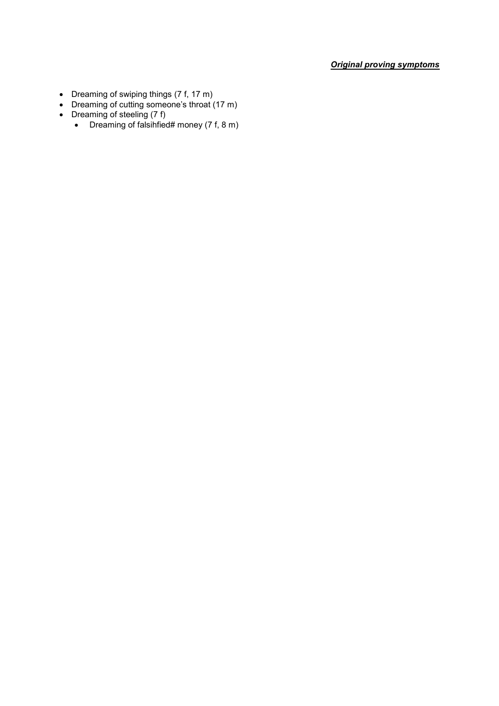- Dreaming of swiping things (7 f, 17 m)
- Dreaming of cutting someone's throat (17 m)
- Dreaming of steeling (7 f)
	- Dreaming of falsihfied# money (7 f, 8 m)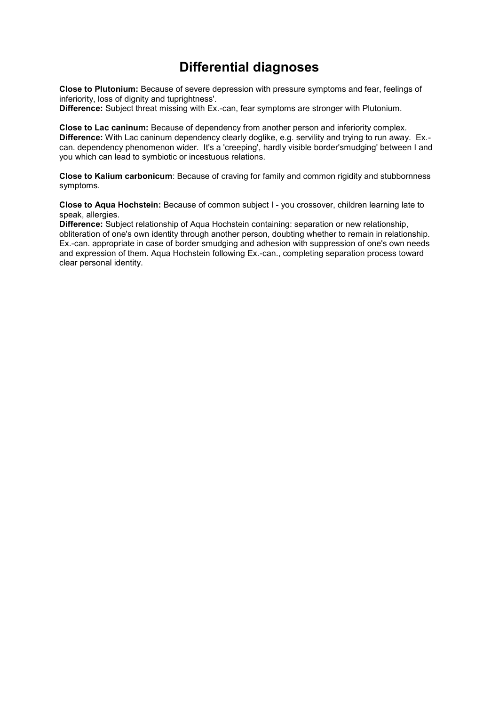# **Differential diagnoses**

**Close to Plutonium:** Because of severe depression with pressure symptoms and fear, feelings of inferiority, loss of dignity and tuprightness'.

**Difference:** Subject threat missing with Ex.-can, fear symptoms are stronger with Plutonium.

**Close to Lac caninum:** Because of dependency from another person and inferiority complex. **Difference:** With Lac caninum dependency clearly doglike, e.g. servility and trying to run away. Ex. can. dependency phenomenon wider. It's a 'creeping', hardly visible border'smudging' between I and you which can lead to symbiotic or incestuous relations.

**Close to Kalium carbonicum**: Because of craving for family and common rigidity and stubbornness symptoms.

**Close to Aqua Hochstein:** Because of common subject I - you crossover, children learning late to speak, allergies.

**Difference:** Subject relationship of Aqua Hochstein containing: separation or new relationship, obliteration of one's own identity through another person, doubting whether to remain in relationship. Ex.-can. appropriate in case of border smudging and adhesion with suppression of one's own needs and expression of them. Aqua Hochstein following Ex.-can., completing separation process toward clear personal identity.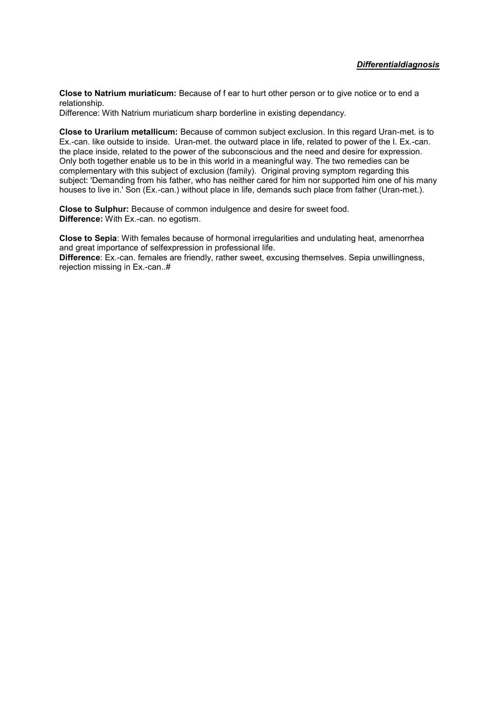**Close to Natrium muriaticum:** Because of f ear to hurt other person or to give notice or to end a relationship.

Difference: With Natrium muriaticum sharp borderline in existing dependancy.

**Close to Urariium metallicum:** Because of common subject exclusion. In this regard Uran-met. is to Ex.-can. like outside to inside. Uran-met. the outward place in life, related to power of the I. Ex.-can. the place inside, related to the power of the subconscious and the need and desire for expression. Only both together enable us to be in this world in a meaningful way. The two remedies can be complementary with this subject of exclusion (family). Original proving symptom regarding this subject: 'Demanding from his father, who has neither cared for him nor supported him one of his many houses to live in.' Son (Ex.-can.) without place in life, demands such place from father (Uran-met.).

**Close to Sulphur:** Because of common indulgence and desire for sweet food. **Difference:** With Ex.-can. no egotism.

**Close to Sepia**: With females because of hormonal irregularities and undulating heat, amenorrhea and great importance of selfexpression in professional life.

**Difference**: Ex.-can. females are friendly, rather sweet, excusing themselves. Sepia unwillingness, rejection missing in Ex.-can..#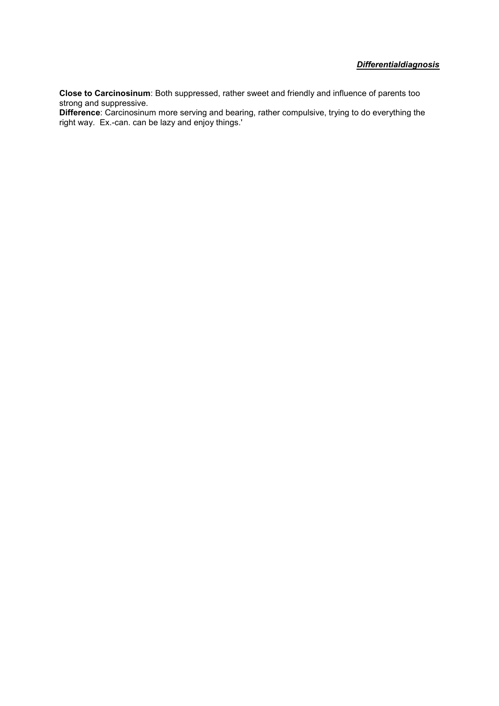# *Differentialdiagnosis*

**Close to Carcinosinum**: Both suppressed, rather sweet and friendly and influence of parents too strong and suppressive.

**Difference**: Carcinosinum more serving and bearing, rather compulsive, trying to do everything the right way. Ex.-can. can be lazy and enjoy things.'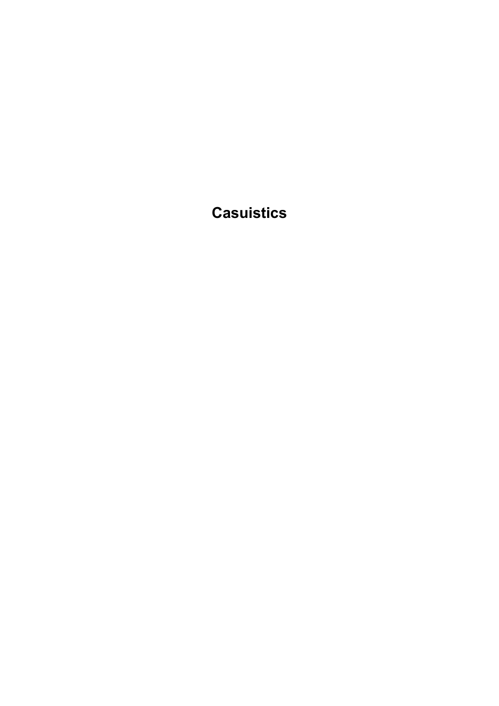**Casuistics**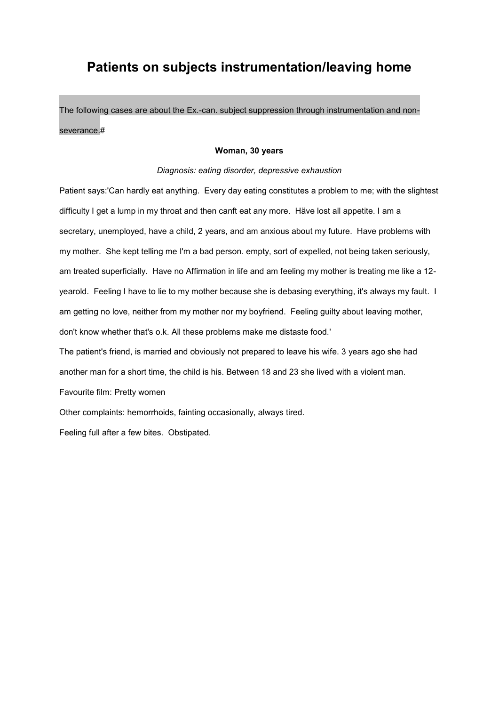# **Patients on subjects instrumentation/leaving home**

The following cases are about the Ex.-can. subject suppression through instrumentation and nonseverance.#

#### **Woman, 30 years**

#### *Diagnosis: eating disorder, depressive exhaustion*

Patient says:'Can hardly eat anything. Every day eating constitutes a problem to me; with the slightest difficulty I get a lump in my throat and then canft eat any more. Häve lost all appetite. I am a secretary, unemployed, have a child, 2 years, and am anxious about my future. Have problems with my mother. She kept telling me I'm a bad person. empty, sort of expelled, not being taken seriously, am treated superficially. Have no Affirmation in life and am feeling my mother is treating me like a 12 yearold. Feeling I have to lie to my mother because she is debasing everything, it's always my fault. I am getting no love, neither from my mother nor my boyfriend. Feeling guilty about leaving mother, don't know whether that's o.k. All these problems make me distaste food.'

The patient's friend, is married and obviously not prepared to leave his wife. 3 years ago she had another man for a short time, the child is his. Between 18 and 23 she lived with a violent man.

Favourite film: Pretty women

Other complaints: hemorrhoids, fainting occasionally, always tired.

Feeling full after a few bites. Obstipated.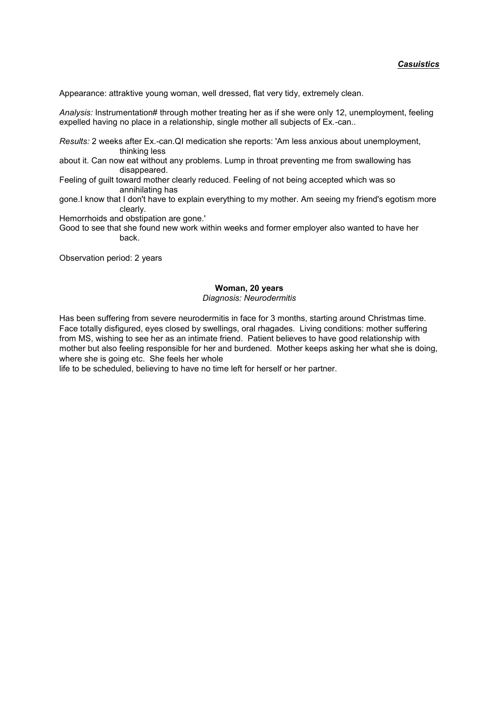Appearance: attraktive young woman, well dressed, flat very tidy, extremely clean.

*Analysis:* Instrumentation# through mother treating her as if she were only 12, unemployment, feeling expelled having no place in a relationship, single mother all subjects of Ex.-can..

*Results:* 2 weeks after Ex.-can.QI medication she reports: 'Am less anxious about unemployment, thinking less

about it. Can now eat without any problems. Lump in throat preventing me from swallowing has disappeared.

Feeling of guilt toward mother clearly reduced. Feeling of not being accepted which was so annihilating has

gone.I know that I don't have to explain everything to my mother. Am seeing my friend's egotism more clearly.

Hemorrhoids and obstipation are gone.'

Good to see that she found new work within weeks and former employer also wanted to have her back.

Observation period: 2 years

#### **Woman, 20 years**

*Diagnosis: Neurodermitis*

Has been suffering from severe neurodermitis in face for 3 months, starting around Christmas time. Face totally disfigured, eyes closed by swellings, oral rhagades. Living conditions: mother suffering from MS, wishing to see her as an intimate friend. Patient believes to have good relationship with mother but also feeling responsible for her and burdened. Mother keeps asking her what she is doing, where she is going etc. She feels her whole

life to be scheduled, believing to have no time left for herself or her partner.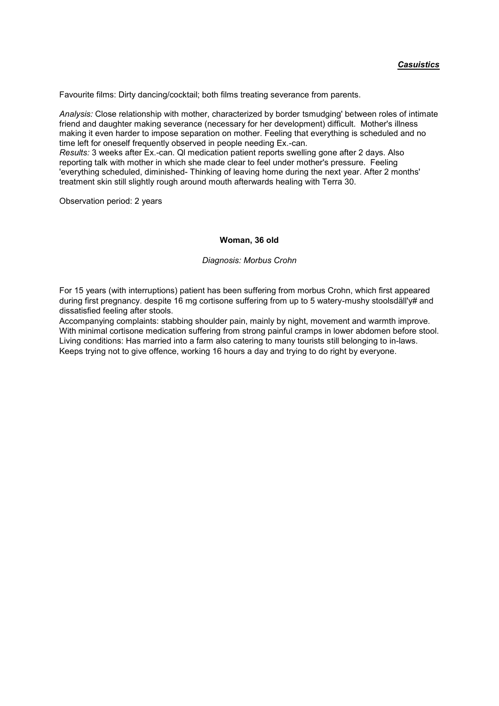Favourite films: Dirty dancing/cocktail; both films treating severance from parents.

*Analysis:* Close relationship with mother, characterized by border tsmudging' between roles of intimate friend and daughter making severance (necessary for her development) difficult. Mother's illness making it even harder to impose separation on mother. Feeling that everything is scheduled and no time left for oneself frequently observed in people needing Ex.-can. *Results:* 3 weeks after Ex.-can. Ql medication patient reports swelling gone after 2 days. Also reporting talk with mother in which she made clear to feel under mother's pressure. Feeling 'everything scheduled, diminished- Thinking of leaving home during the next year. After 2 months'

treatment skin still slightly rough around mouth afterwards healing with Terra 30.

Observation period: 2 years

#### **Woman, 36 old**

#### *Diagnosis: Morbus Crohn*

For 15 years (with interruptions) patient has been suffering from morbus Crohn, which first appeared during first pregnancy. despite 16 mg cortisone suffering from up to 5 watery-mushy stoolsdäll'y# and dissatisfied feeling after stools.

Accompanying complaints: stabbing shoulder pain, mainly by night, movement and warmth improve. With minimal cortisone medication suffering from strong painful cramps in lower abdomen before stool. Living conditions: Has married into a farm also catering to many tourists still belonging to in-laws. Keeps trying not to give offence, working 16 hours a day and trying to do right by everyone.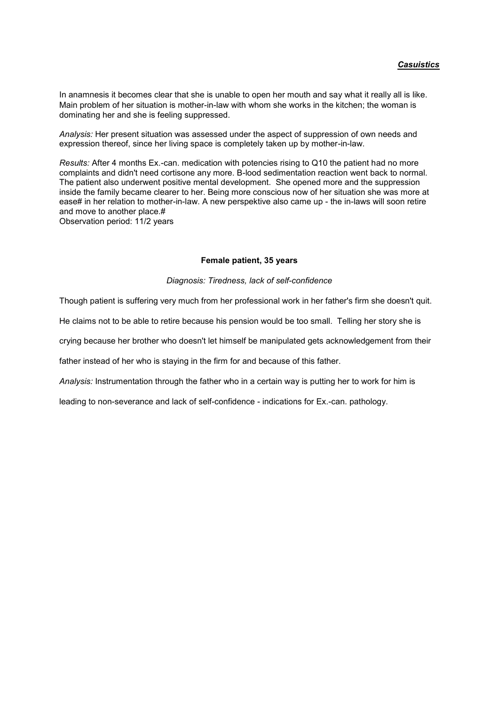In anamnesis it becomes clear that she is unable to open her mouth and say what it really all is like. Main problem of her situation is mother-in-law with whom she works in the kitchen; the woman is dominating her and she is feeling suppressed.

*Analysis:* Her present situation was assessed under the aspect of suppression of own needs and expression thereof, since her living space is completely taken up by mother-in-law.

*Results:* After 4 months Ex.-can. medication with potencies rising to Q10 the patient had no more complaints and didn't need cortisone any more. B-lood sedimentation reaction went back to normal. The patient also underwent positive mental development. She opened more and the suppression inside the family became clearer to her. Being more conscious now of her situation she was more at ease# in her relation to mother-in-law. A new perspektive also came up - the in-laws will soon retire and move to another place.#

Observation period: 11/2 years

#### **Female patient, 35 years**

#### *Diagnosis: Tiredness, lack of self-confidence*

Though patient is suffering very much from her professional work in her father's firm she doesn't quit.

He claims not to be able to retire because his pension would be too small. Telling her story she is

crying because her brother who doesn't let himself be manipulated gets acknowledgement from their

father instead of her who is staying in the firm for and because of this father.

*Analysis:* Instrumentation through the father who in a certain way is putting her to work for him is

leading to non-severance and lack of self-confidence - indications for Ex.-can. pathology.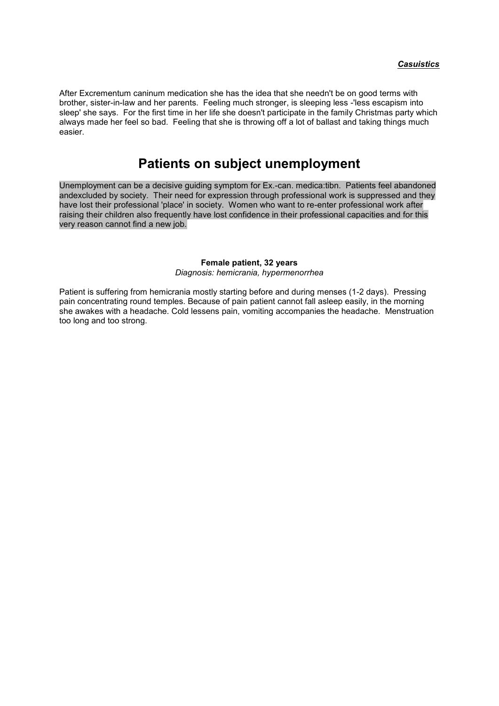After Excrementum caninum medication she has the idea that she needn't be on good terms with brother, sister-in-law and her parents. Feeling much stronger, is sleeping less -'less escapism into sleep' she says. For the first time in her life she doesn't participate in the family Christmas party which always made her feel so bad. Feeling that she is throwing off a lot of ballast and taking things much easier.

# **Patients on subject unemployment**

Unemployment can be a decisive guiding symptom for Ex.-can. medica:tibn. Patients feel abandoned andexcluded by society. Their need for expression through professional work is suppressed and they have lost their professional 'place' in society. Women who want to re-enter professional work after raising their children also frequently have lost confidence in their professional capacities and for this very reason cannot find a new job.

#### **Female patient, 32 years** *Diagnosis: hemicrania, hypermenorrhea*

Patient is suffering from hemicrania mostly starting before and during menses (1-2 days). Pressing pain concentrating round temples. Because of pain patient cannot fall asleep easily, in the morning she awakes with a headache. Cold lessens pain, vomiting accompanies the headache. Menstruation too long and too strong.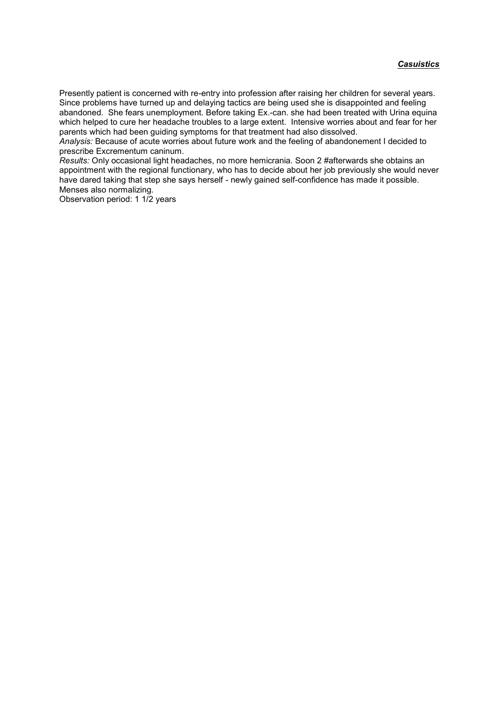Presently patient is concerned with re-entry into profession after raising her children for several years. Since problems have turned up and delaying tactics are being used she is disappointed and feeling abandoned. She fears unemployment. Before taking Ex.-can. she had been treated with Urina equina which helped to cure her headache troubles to a large extent. Intensive worries about and fear for her parents which had been guiding symptoms for that treatment had also dissolved.

*Analysis:* Because of acute worries about future work and the feeling of abandonement I decided to prescribe Excrementum caninum.

*Results:* Only occasional light headaches, no more hemicrania. Soon 2 #afterwards she obtains an appointment with the regional functionary, who has to decide about her job previously she would never have dared taking that step she says herself - newly gained self-confidence has made it possible. Menses also normalizing.

Observation period: 1 1/2 years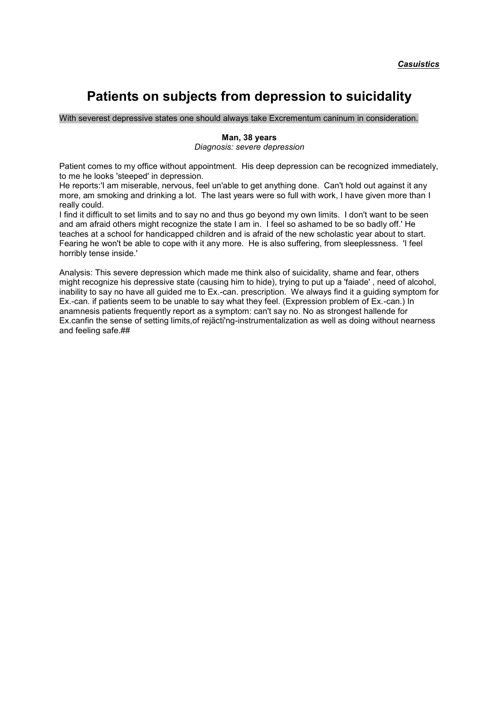# **Patients on subjects from depression to suicidality**

With severest depressive states one should always take Excrementum caninum in consideration.

## **Man, 38 years**

*Diagnosis: severe depression*

Patient comes to my office without appointment. His deep depression can be recognized immediately, to me he looks 'steeped' in depression.

He reports:'I am miserable, nervous, feel un'able to get anything done. Can't hold out against it any more, am smoking and drinking a lot. The last years were so full with work, I have given more than I really could.

I find it difficult to set limits and to say no and thus go beyond my own limits. I don't want to be seen and am afraid others might recognize the state I am in. I feel so ashamed to be so badly off.' He teaches at a school for handicapped children and is afraid of the new scholastic year about to start. Fearing he won't be able to cope with it any more. He is also suffering, from sleeplessness. 'I feel horribly tense inside.'

Analysis: This severe depression which made me think also of suicidality, shame and fear, others might recognize his depressive state (causing him to hide), trying to put up a 'faiade' , need of alcohol, inability to say no have all guided me to Ex.-can. prescription. We always find it a guiding symptom for Ex.-can. if patients seem to be unable to say what they feel. (Expression problem of Ex.-can.) In anamnesis patients frequently report as a symptom: can't say no. No as strongest hallende for Ex.canfin the sense of setting limits,of rejäcti'ng-instrumentalization as well as doing without nearness and feeling safe.##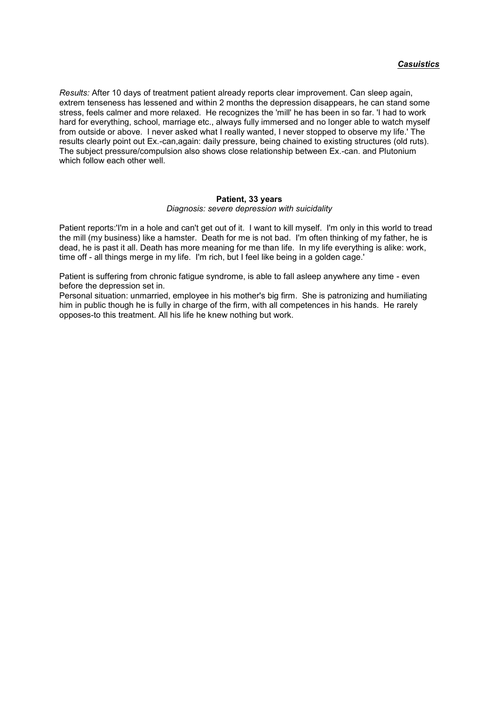*Results:* After 10 days of treatment patient already reports clear improvement. Can sleep again, extrem tenseness has lessened and within 2 months the depression disappears, he can stand some stress, feels calmer and more relaxed. He recognizes the 'mill' he has been in so far. 'I had to work hard for everything, school, marriage etc., always fully immersed and no longer able to watch myself from outside or above. I never asked what I really wanted, I never stopped to observe my life.' The results clearly point out Ex.-can,again: daily pressure, being chained to existing structures (old ruts). The subject pressure/compulsion also shows close relationship between Ex.-can. and Plutonium which follow each other well.

#### **Patient, 33 years**

#### *Diagnosis: severe depression with suicidality*

Patient reports:'I'm in a hole and can't get out of it. I want to kill myself. I'm only in this world to tread the mill (my business) like a hamster. Death for me is not bad. I'm often thinking of my father, he is dead, he is past it all. Death has more meaning for me than life. In my life everything is alike: work, time off - all things merge in my life. I'm rich, but I feel like being in a golden cage.'

Patient is suffering from chronic fatigue syndrome, is able to fall asleep anywhere any time - even before the depression set in.

Personal situation: unmarried, employee in his mother's big firm. She is patronizing and humiliating him in public though he is fully in charge of the firm, with all competences in his hands. He rarely opposes-to this treatment. All his life he knew nothing but work.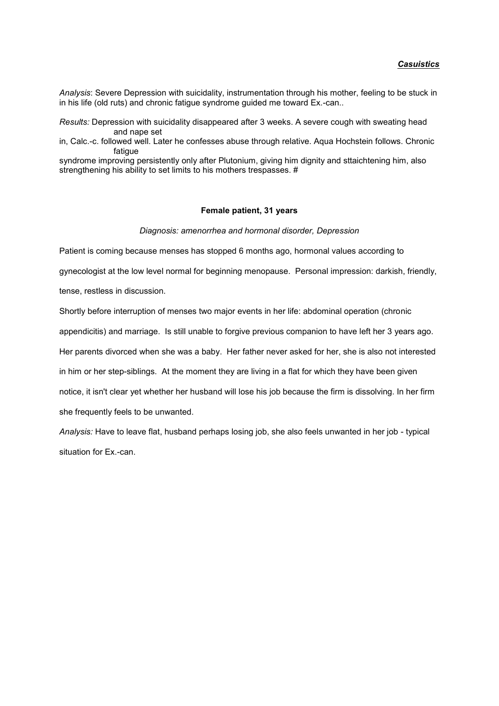*Analysis*: Severe Depression with suicidality, instrumentation through his mother, feeling to be stuck in in his life (old ruts) and chronic fatigue syndrome guided me toward Ex.-can..

*Results:* Depression with suicidality disappeared after 3 weeks. A severe cough with sweating head and nape set

in, Calc.-c. followed well. Later he confesses abuse through relative. Aqua Hochstein follows. Chronic fatigue

syndrome improving persistently only after Plutonium, giving him dignity and sttaichtening him, also strengthening his ability to set limits to his mothers trespasses. #

#### **Female patient, 31 years**

*Diagnosis: amenorrhea and hormonal disorder, Depression*

Patient is coming because menses has stopped 6 months ago, hormonal values according to

gynecologist at the low level normal for beginning menopause. Personal impression: darkish, friendly,

tense, restless in discussion.

Shortly before interruption of menses two major events in her life: abdominal operation (chronic appendicitis) and marriage. Is still unable to forgive previous companion to have left her 3 years ago. Her parents divorced when she was a baby. Her father never asked for her, she is also not interested in him or her step-siblings. At the moment they are living in a flat for which they have been given notice, it isn't clear yet whether her husband will lose his job because the firm is dissolving. In her firm she frequently feels to be unwanted.

*Analysis:* Have to leave flat, husband perhaps losing job, she also feels unwanted in her job - typical situation for Ex.-can.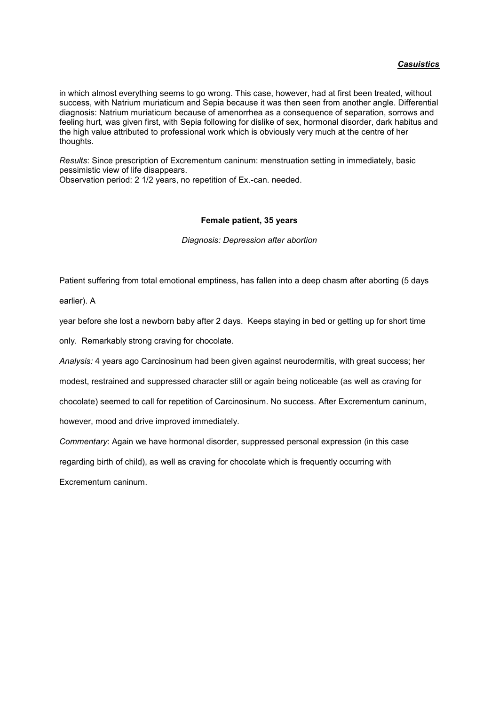in which almost everything seems to go wrong. This case, however, had at first been treated, without success, with Natrium muriaticum and Sepia because it was then seen from another angle. Differential diagnosis: Natrium muriaticum because of amenorrhea as a consequence of separation, sorrows and feeling hurt, was given first, with Sepia following for dislike of sex, hormonal disorder, dark habitus and the high value attributed to professional work which is obviously very much at the centre of her thoughts.

*Results*: Since prescription of Excrementum caninum: menstruation setting in immediately, basic pessimistic view of life disappears.

Observation period: 2 1/2 years, no repetition of Ex.-can. needed.

### **Female patient, 35 years**

*Diagnosis: Depression after abortion*

Patient suffering from total emotional emptiness, has fallen into a deep chasm after aborting (5 days

earlier). A

year before she lost a newborn baby after 2 days. Keeps staying in bed or getting up for short time

only. Remarkably strong craving for chocolate.

*Analysis:* 4 years ago Carcinosinum had been given against neurodermitis, with great success; her

modest, restrained and suppressed character still or again being noticeable (as well as craving for

chocolate) seemed to call for repetition of Carcinosinum. No success. After Excrementum caninum,

however, mood and drive improved immediately.

*Commentary*: Again we have hormonal disorder, suppressed personal expression (in this case

regarding birth of child), as well as craving for chocolate which is frequently occurring with

Excrementum caninum.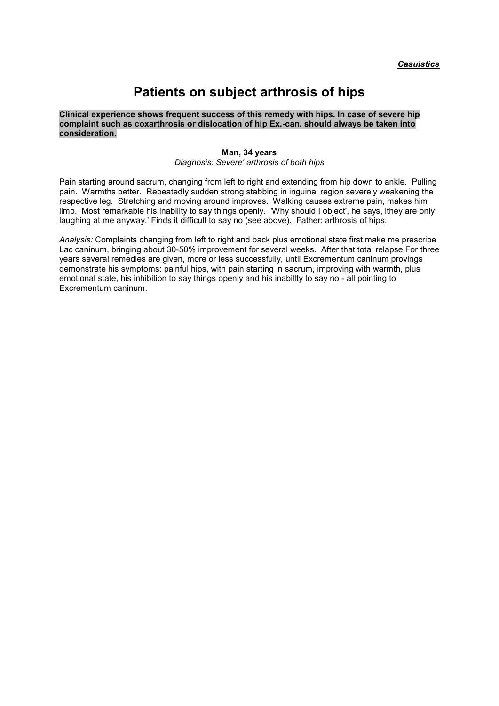# **Patients on subject arthrosis of hips**

**Clinical experience shows frequent success of this remedy with hips. In case of severe hip complaint such as coxarthrosis or dislocation of hip Ex.-can. should always be taken into consideration.**

#### **Man, 34 years**

*Diagnosis: Severe' arthrosis of both hips*

Pain starting around sacrum, changing from left to right and extending from hip down to ankle. Pulling pain. Warmths better. Repeatedly sudden strong stabbing in inguinal region severely weakening the respective leg. Stretching and moving around improves. Walking causes extreme pain, makes him limp. Most remarkable his inability to say things openly. 'Why should I object', he says, ithey are only laughing at me anyway.' Finds it difficult to say no (see above). Father: arthrosis of hips.

*Analysis:* Complaints changing from left to right and back plus emotional state first make me prescribe Lac caninum, bringing about 30-50% improvement for several weeks. After that total relapse.For three years several remedies are given, more or less successfully, until Excrementum caninum provings demonstrate his symptoms: painful hips, with pain starting in sacrum, improving with warmth, plus emotional state, his inhibition to say things openly and his inabillty to say no - all pointing to Excrementum caninum.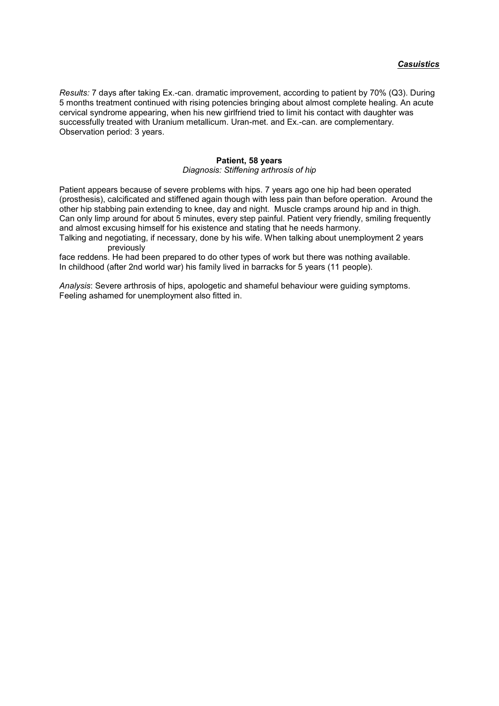*Results:* 7 days after taking Ex.-can. dramatic improvement, according to patient by 70% (Q3). During 5 months treatment continued with rising potencies bringing about almost complete healing. An acute cervical syndrome appearing, when his new girlfriend tried to limit his contact with daughter was successfully treated with Uranium metallicum. Uran-met. and Ex.-can. are complementary. Observation period: 3 years.

### **Patient, 58 years** *Diagnosis: Stiffening arthrosis of hip*

Patient appears because of severe problems with hips. 7 years ago one hip had been operated (prosthesis), calcificated and stiffened again though with less pain than before operation. Around the other hip stabbing pain extending to knee, day and night. Muscle cramps around hip and in thigh. Can only limp around for about 5 minutes, every step painful. Patient very friendly, smiling frequently and almost excusing himself for his existence and stating that he needs harmony.

Talking and negotiating, if necessary, done by his wife. When talking about unemployment 2 years previously

face reddens. He had been prepared to do other types of work but there was nothing available. In childhood (after 2nd world war) his family lived in barracks for 5 years (11 people).

*Analysis*: Severe arthrosis of hips, apologetic and shameful behaviour were guiding symptoms. Feeling ashamed for unemployment also fitted in.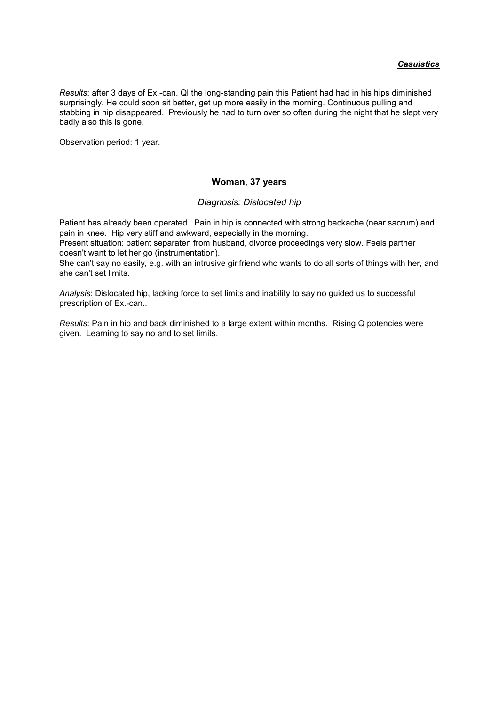*Results*: after 3 days of Ex.-can. Ql the long-standing pain this Patient had had in his hips diminished surprisingly. He could soon sit better, get up more easily in the morning. Continuous pulling and stabbing in hip disappeared. Previously he had to turn over so often during the night that he slept very badly also this is gone.

Observation period: 1 year.

## **Woman, 37 years**

## *Diagnosis: Dislocated hip*

Patient has already been operated. Pain in hip is connected with strong backache (near sacrum) and pain in knee. Hip very stiff and awkward, especially in the morning.

Present situation: patient separaten from husband, divorce proceedings very slow. Feels partner doesn't want to let her go (instrumentation).

She can't say no easily, e.g. with an intrusive girlfriend who wants to do all sorts of things with her, and she can't set limits.

*Analysis*: Dislocated hip, lacking force to set limits and inability to say no guided us to successful prescription of Ex.-can..

*Results*: Pain in hip and back diminished to a large extent within months. Rising Q potencies were given. Learning to say no and to set limits.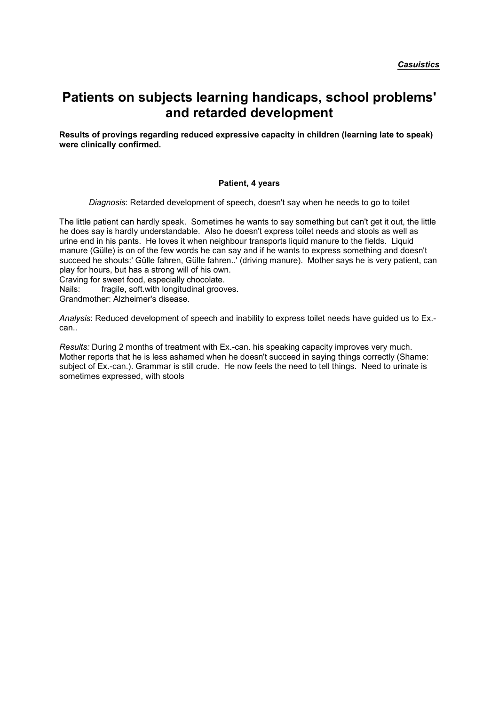# **Patients on subjects learning handicaps, school problems' and retarded development**

**Results of provings regarding reduced expressive capacity in children (learning late to speak) were clinically confirmed.**

### **Patient, 4 years**

*Diagnosis*: Retarded development of speech, doesn't say when he needs to go to toilet

The little patient can hardly speak. Sometimes he wants to say something but can't get it out, the little he does say is hardly understandable. Also he doesn't express toilet needs and stools as well as urine end in his pants. He loves it when neighbour transports liquid manure to the fields. Liquid manure (Gülle) is on of the few words he can say and if he wants to express something and doesn't succeed he shouts:' Gülle fahren, Gülle fahren..' (driving manure). Mother says he is very patient, can play for hours, but has a strong will of his own.

Craving for sweet food, especially chocolate.

Nails: fragile, soft.with longitudinal grooves.

Grandmother: Alzheimer's disease.

*Analysis*: Reduced development of speech and inability to express toilet needs have guided us to Ex. can..

*Results:* During 2 months of treatment with Ex.-can. his speaking capacity improves very much. Mother reports that he is less ashamed when he doesn't succeed in saying things correctly (Shame: subject of Ex.-can.). Grammar is still crude. He now feels the need to tell things. Need to urinate is sometimes expressed, with stools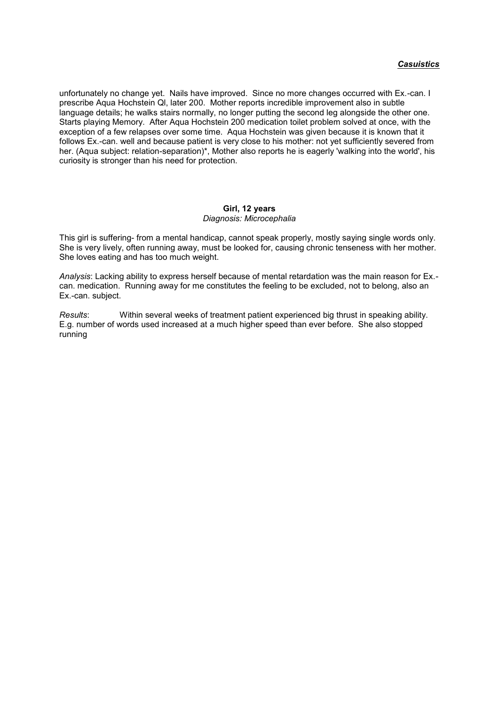unfortunately no change yet. Nails have improved. Since no more changes occurred with Ex.-can. I prescribe Aqua Hochstein Ql, later 200. Mother reports incredible improvement also in subtle language details; he walks stairs normally, no longer putting the second leg alongside the other one. Starts playing Memory. After Aqua Hochstein 200 medication toilet problem solved at once, with the exception of a few relapses over some time. Aqua Hochstein was given because it is known that it follows Ex.-can. well and because patient is very close to his mother: not yet sufficiently severed from her. (Aqua subject: relation-separation)\*, Mother also reports he is eagerly 'walking into the world', his curiosity is stronger than his need for protection.

### **Girl, 12 years** *Diagnosis: Microcephalia*

This girl is suffering- from a mental handicap, cannot speak properly, mostly saying single words only. She is very lively, often running away, must be looked for, causing chronic tenseness with her mother. She loves eating and has too much weight.

*Analysis*: Lacking ability to express herself because of mental retardation was the main reason for Ex. can. medication. Running away for me constitutes the feeling to be excluded, not to belong, also an Ex.-can. subject.

*Results*: Within several weeks of treatment patient experienced big thrust in speaking ability. E.g. number of words used increased at a much higher speed than ever before. She also stopped running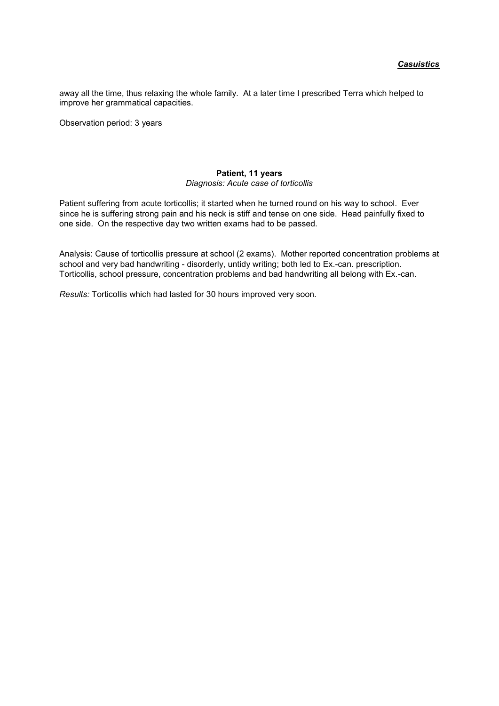away all the time, thus relaxing the whole family. At a later time I prescribed Terra which helped to improve her grammatical capacities.

Observation period: 3 years

### **Patient, 11 years** *Diagnosis: Acute case of torticollis*

Patient suffering from acute torticollis; it started when he turned round on his way to school. Ever since he is suffering strong pain and his neck is stiff and tense on one side. Head painfully fixed to one side. On the respective day two written exams had to be passed.

Analysis: Cause of torticollis pressure at school (2 exams). Mother reported concentration problems at school and very bad handwriting - disorderly, untidy writing; both led to Ex.-can. prescription. Torticollis, school pressure, concentration problems and bad handwriting all belong with Ex.-can.

*Results:* Torticollis which had lasted for 30 hours improved very soon.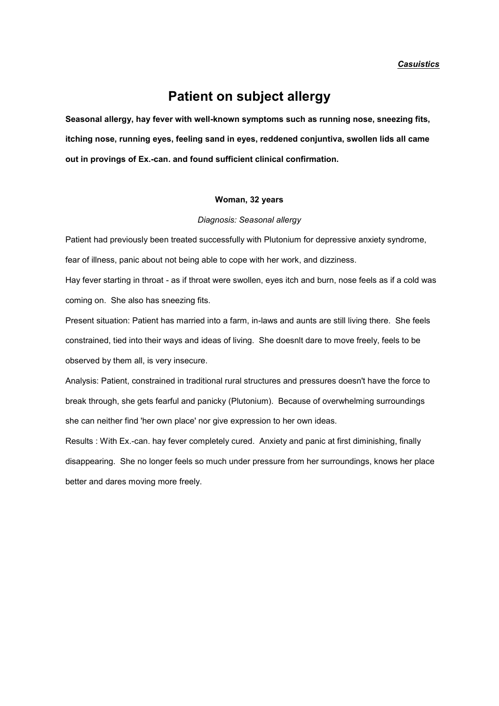*Casuistics*

# **Patient on subject allergy**

**Seasonal allergy, hay fever with well-known symptoms such as running nose, sneezing fits, itching nose, running eyes, feeling sand in eyes, reddened conjuntiva, swollen lids all came out in provings of Ex.-can. and found sufficient clinical confirmation.**

#### **Woman, 32 years**

*Diagnosis: Seasonal allergy*

Patient had previously been treated successfully with Plutonium for depressive anxiety syndrome,

fear of illness, panic about not being able to cope with her work, and dizziness.

Hay fever starting in throat - as if throat were swollen, eyes itch and burn, nose feels as if a cold was coming on. She also has sneezing fits.

Present situation: Patient has married into a farm, in-laws and aunts are still living there. She feels constrained, tied into their ways and ideas of living. She doesnlt dare to move freely, feels to be observed by them all, is very insecure.

Analysis: Patient, constrained in traditional rural structures and pressures doesn't have the force to break through, she gets fearful and panicky (Plutonium). Because of overwhelming surroundings she can neither find 'her own place' nor give expression to her own ideas.

Results : With Ex.-can. hay fever completely cured. Anxiety and panic at first diminishing, finally disappearing. She no longer feels so much under pressure from her surroundings, knows her place better and dares moving more freely.